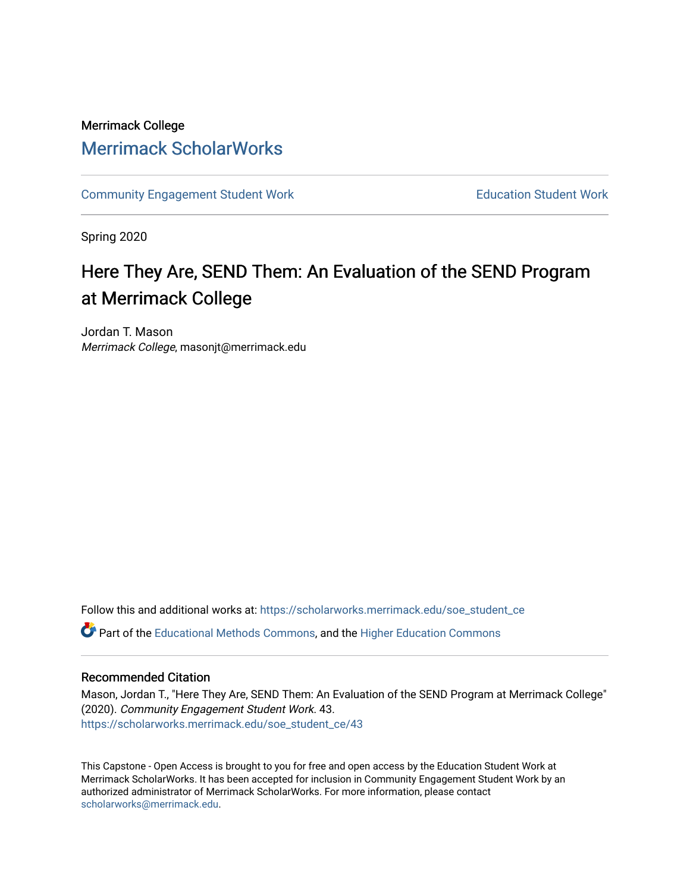## Merrimack College [Merrimack ScholarWorks](https://scholarworks.merrimack.edu/)

[Community Engagement Student Work](https://scholarworks.merrimack.edu/soe_student_ce) **Education Student Work** Education Student Work

Spring 2020

# Here They Are, SEND Them: An Evaluation of the SEND Program at Merrimack College

Jordan T. Mason Merrimack College, masonjt@merrimack.edu

Follow this and additional works at: [https://scholarworks.merrimack.edu/soe\\_student\\_ce](https://scholarworks.merrimack.edu/soe_student_ce?utm_source=scholarworks.merrimack.edu%2Fsoe_student_ce%2F43&utm_medium=PDF&utm_campaign=PDFCoverPages) 

Part of the [Educational Methods Commons,](http://network.bepress.com/hgg/discipline/1227?utm_source=scholarworks.merrimack.edu%2Fsoe_student_ce%2F43&utm_medium=PDF&utm_campaign=PDFCoverPages) and the [Higher Education Commons](http://network.bepress.com/hgg/discipline/1245?utm_source=scholarworks.merrimack.edu%2Fsoe_student_ce%2F43&utm_medium=PDF&utm_campaign=PDFCoverPages) 

## Recommended Citation

Mason, Jordan T., "Here They Are, SEND Them: An Evaluation of the SEND Program at Merrimack College" (2020). Community Engagement Student Work. 43. [https://scholarworks.merrimack.edu/soe\\_student\\_ce/43](https://scholarworks.merrimack.edu/soe_student_ce/43?utm_source=scholarworks.merrimack.edu%2Fsoe_student_ce%2F43&utm_medium=PDF&utm_campaign=PDFCoverPages)

This Capstone - Open Access is brought to you for free and open access by the Education Student Work at Merrimack ScholarWorks. It has been accepted for inclusion in Community Engagement Student Work by an authorized administrator of Merrimack ScholarWorks. For more information, please contact [scholarworks@merrimack.edu](mailto:scholarworks@merrimack.edu).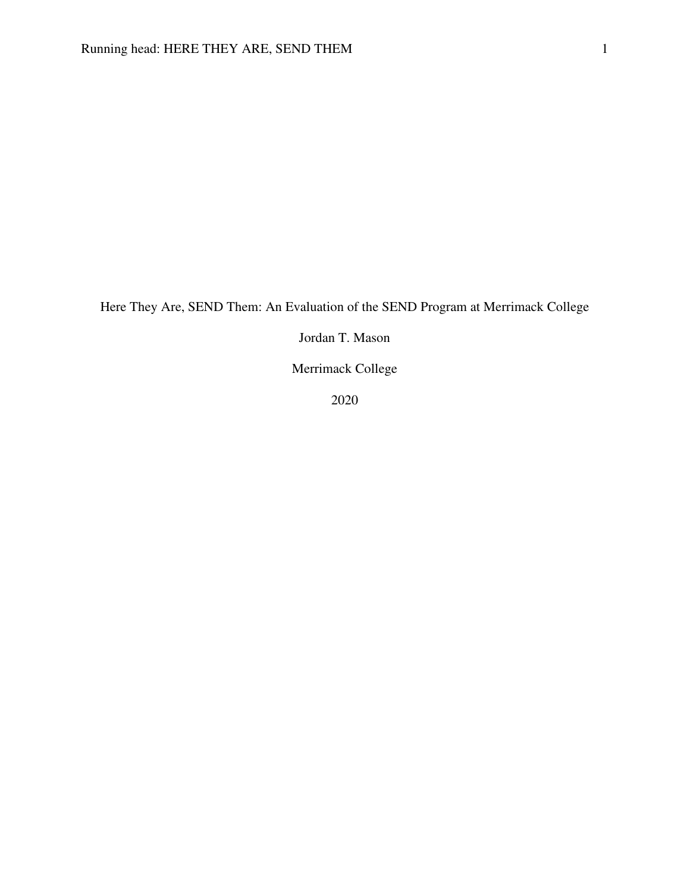Here They Are, SEND Them: An Evaluation of the SEND Program at Merrimack College

Jordan T. Mason

Merrimack College

2020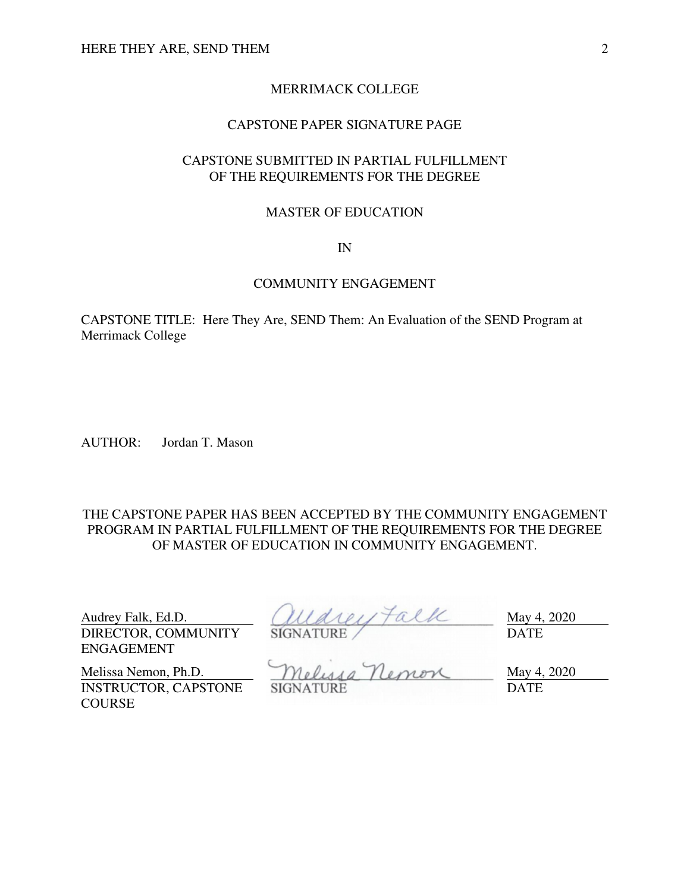## MERRIMACK COLLEGE

## CAPSTONE PAPER SIGNATURE PAGE

## CAPSTONE SUBMITTED IN PARTIAL FULFILLMENT OF THE REQUIREMENTS FOR THE DEGREE

#### MASTER OF EDUCATION

#### IN

#### COMMUNITY ENGAGEMENT

CAPSTONE TITLE: Here They Are, SEND Them: An Evaluation of the SEND Program at Merrimack College

AUTHOR: Jordan T. Mason

## THE CAPSTONE PAPER HAS BEEN ACCEPTED BY THE COMMUNITY ENGAGEMENT PROGRAM IN PARTIAL FULFILLMENT OF THE REQUIREMENTS FOR THE DEGREE OF MASTER OF EDUCATION IN COMMUNITY ENGAGEMENT.

DIRECTOR, COMMUNITY ENGAGEMENT

Audrey Falk, Ed.D.  $\left(\mathcal{U}\right)\left(\mathcal{U}\right)\left(\mathcal{U}\right)$   $\left(\mathcal{U}\right)\left(\mathcal{U}\right)$  May 4, 2020 SIGNATURE / DATE

INSTRUCTOR, CAPSTONE **COURSE** 

Melissa Nemon, Ph.D.  $Mgludd Mg Tl$ enen SIGNATURE DATE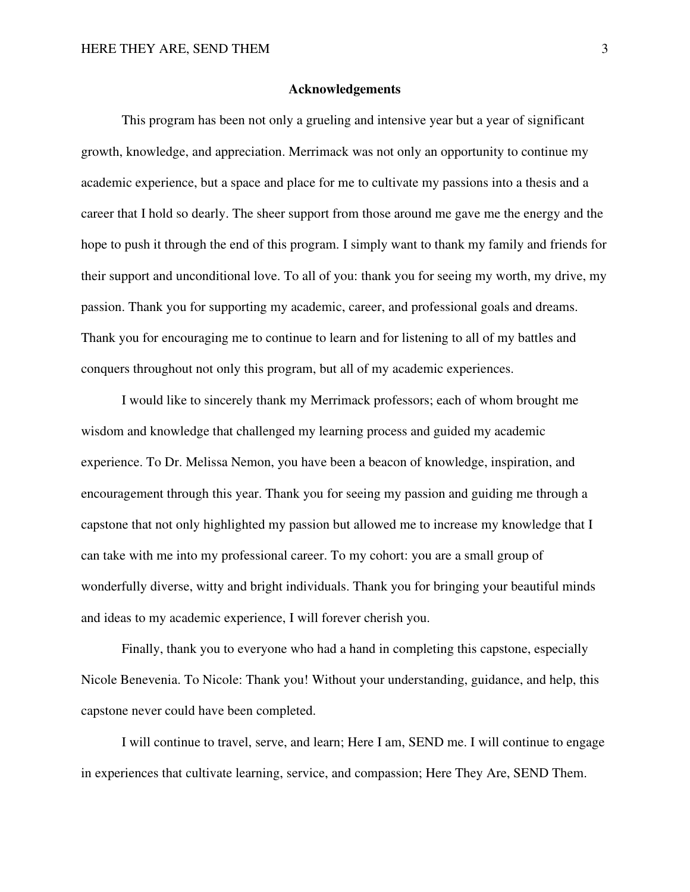#### **Acknowledgements**

 This program has been not only a grueling and intensive year but a year of significant growth, knowledge, and appreciation. Merrimack was not only an opportunity to continue my academic experience, but a space and place for me to cultivate my passions into a thesis and a career that I hold so dearly. The sheer support from those around me gave me the energy and the hope to push it through the end of this program. I simply want to thank my family and friends for their support and unconditional love. To all of you: thank you for seeing my worth, my drive, my passion. Thank you for supporting my academic, career, and professional goals and dreams. Thank you for encouraging me to continue to learn and for listening to all of my battles and conquers throughout not only this program, but all of my academic experiences.

I would like to sincerely thank my Merrimack professors; each of whom brought me wisdom and knowledge that challenged my learning process and guided my academic experience. To Dr. Melissa Nemon, you have been a beacon of knowledge, inspiration, and encouragement through this year. Thank you for seeing my passion and guiding me through a capstone that not only highlighted my passion but allowed me to increase my knowledge that I can take with me into my professional career. To my cohort: you are a small group of wonderfully diverse, witty and bright individuals. Thank you for bringing your beautiful minds and ideas to my academic experience, I will forever cherish you.

Finally, thank you to everyone who had a hand in completing this capstone, especially Nicole Benevenia. To Nicole: Thank you! Without your understanding, guidance, and help, this capstone never could have been completed.

 I will continue to travel, serve, and learn; Here I am, SEND me. I will continue to engage in experiences that cultivate learning, service, and compassion; Here They Are, SEND Them.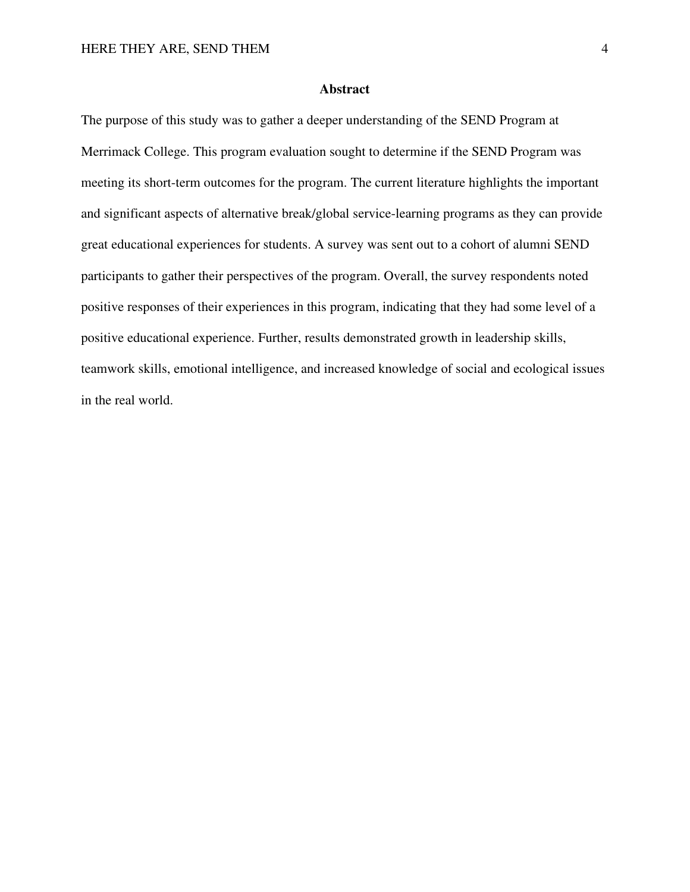#### **Abstract**

The purpose of this study was to gather a deeper understanding of the SEND Program at Merrimack College. This program evaluation sought to determine if the SEND Program was meeting its short-term outcomes for the program. The current literature highlights the important and significant aspects of alternative break/global service-learning programs as they can provide great educational experiences for students. A survey was sent out to a cohort of alumni SEND participants to gather their perspectives of the program. Overall, the survey respondents noted positive responses of their experiences in this program, indicating that they had some level of a positive educational experience. Further, results demonstrated growth in leadership skills, teamwork skills, emotional intelligence, and increased knowledge of social and ecological issues in the real world.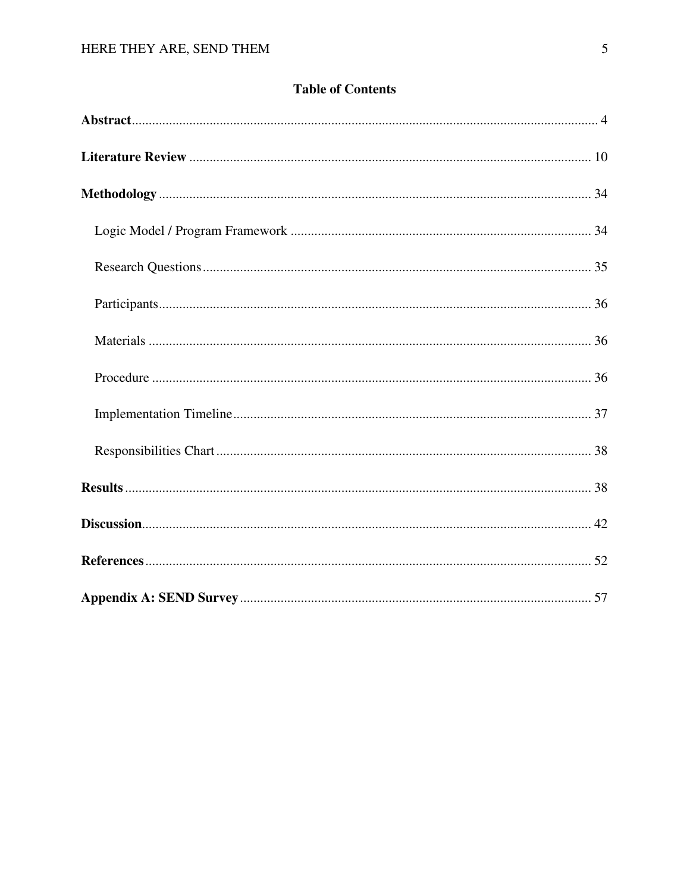## **Table of Contents**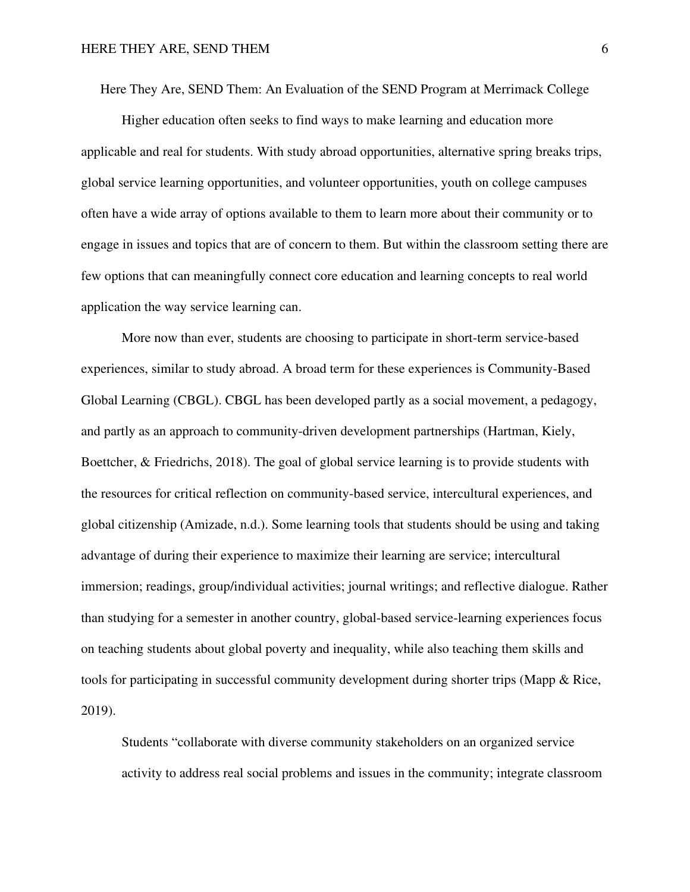Here They Are, SEND Them: An Evaluation of the SEND Program at Merrimack College

Higher education often seeks to find ways to make learning and education more applicable and real for students. With study abroad opportunities, alternative spring breaks trips, global service learning opportunities, and volunteer opportunities, youth on college campuses often have a wide array of options available to them to learn more about their community or to engage in issues and topics that are of concern to them. But within the classroom setting there are few options that can meaningfully connect core education and learning concepts to real world application the way service learning can.

More now than ever, students are choosing to participate in short-term service-based experiences, similar to study abroad. A broad term for these experiences is Community-Based Global Learning (CBGL). CBGL has been developed partly as a social movement, a pedagogy, and partly as an approach to community-driven development partnerships (Hartman, Kiely, Boettcher, & Friedrichs, 2018). The goal of global service learning is to provide students with the resources for critical reflection on community-based service, intercultural experiences, and global citizenship (Amizade, n.d.). Some learning tools that students should be using and taking advantage of during their experience to maximize their learning are service; intercultural immersion; readings, group/individual activities; journal writings; and reflective dialogue. Rather than studying for a semester in another country, global-based service-learning experiences focus on teaching students about global poverty and inequality, while also teaching them skills and tools for participating in successful community development during shorter trips (Mapp & Rice, 2019).

Students "collaborate with diverse community stakeholders on an organized service activity to address real social problems and issues in the community; integrate classroom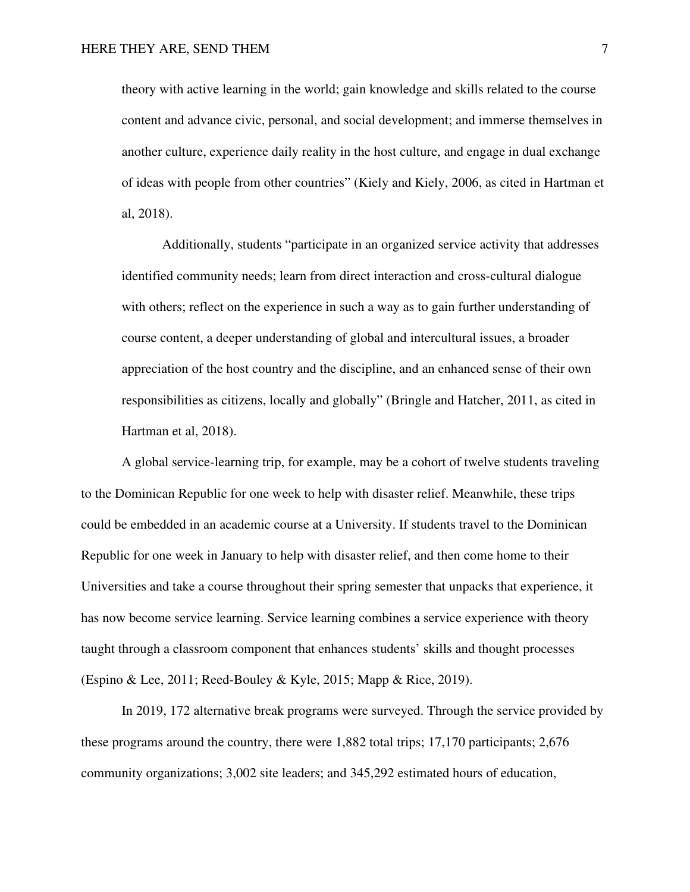theory with active learning in the world; gain knowledge and skills related to the course content and advance civic, personal, and social development; and immerse themselves in another culture, experience daily reality in the host culture, and engage in dual exchange of ideas with people from other countries" (Kiely and Kiely, 2006, as cited in Hartman et al, 2018).

 Additionally, students "participate in an organized service activity that addresses identified community needs; learn from direct interaction and cross-cultural dialogue with others; reflect on the experience in such a way as to gain further understanding of course content, a deeper understanding of global and intercultural issues, a broader appreciation of the host country and the discipline, and an enhanced sense of their own responsibilities as citizens, locally and globally" (Bringle and Hatcher, 2011, as cited in Hartman et al, 2018).

A global service-learning trip, for example, may be a cohort of twelve students traveling to the Dominican Republic for one week to help with disaster relief. Meanwhile, these trips could be embedded in an academic course at a University. If students travel to the Dominican Republic for one week in January to help with disaster relief, and then come home to their Universities and take a course throughout their spring semester that unpacks that experience, it has now become service learning. Service learning combines a service experience with theory taught through a classroom component that enhances students' skills and thought processes (Espino & Lee, 2011; Reed-Bouley & Kyle, 2015; Mapp & Rice, 2019).

In 2019, 172 alternative break programs were surveyed. Through the service provided by these programs around the country, there were 1,882 total trips; 17,170 participants; 2,676 community organizations; 3,002 site leaders; and 345,292 estimated hours of education,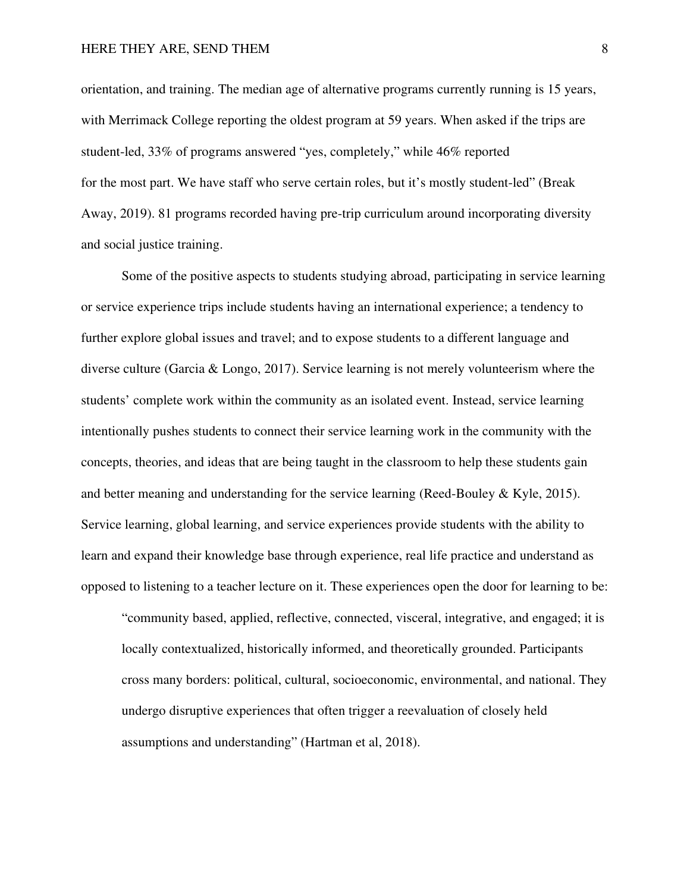orientation, and training. The median age of alternative programs currently running is 15 years, with Merrimack College reporting the oldest program at 59 years. When asked if the trips are student-led, 33% of programs answered "yes, completely," while 46% reported for the most part. We have staff who serve certain roles, but it's mostly student-led" (Break Away, 2019). 81 programs recorded having pre-trip curriculum around incorporating diversity and social justice training.

Some of the positive aspects to students studying abroad, participating in service learning or service experience trips include students having an international experience; a tendency to further explore global issues and travel; and to expose students to a different language and diverse culture (Garcia & Longo, 2017). Service learning is not merely volunteerism where the students' complete work within the community as an isolated event. Instead, service learning intentionally pushes students to connect their service learning work in the community with the concepts, theories, and ideas that are being taught in the classroom to help these students gain and better meaning and understanding for the service learning (Reed-Bouley  $\&$  Kyle, 2015). Service learning, global learning, and service experiences provide students with the ability to learn and expand their knowledge base through experience, real life practice and understand as opposed to listening to a teacher lecture on it. These experiences open the door for learning to be:

"community based, applied, reflective, connected, visceral, integrative, and engaged; it is locally contextualized, historically informed, and theoretically grounded. Participants cross many borders: political, cultural, socioeconomic, environmental, and national. They undergo disruptive experiences that often trigger a reevaluation of closely held assumptions and understanding" (Hartman et al, 2018).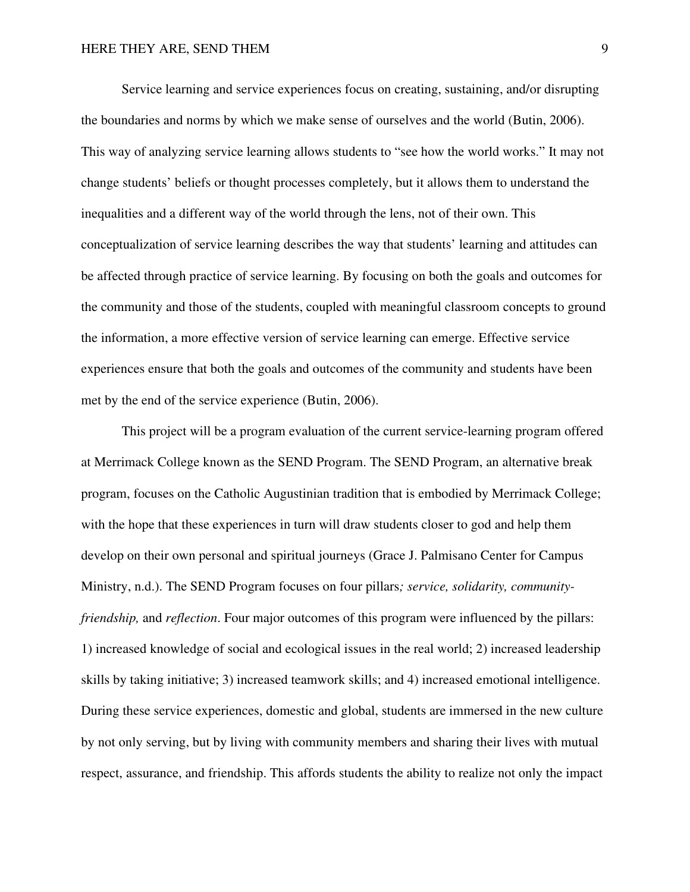Service learning and service experiences focus on creating, sustaining, and/or disrupting the boundaries and norms by which we make sense of ourselves and the world (Butin, 2006). This way of analyzing service learning allows students to "see how the world works." It may not change students' beliefs or thought processes completely, but it allows them to understand the inequalities and a different way of the world through the lens, not of their own. This conceptualization of service learning describes the way that students' learning and attitudes can be affected through practice of service learning. By focusing on both the goals and outcomes for the community and those of the students, coupled with meaningful classroom concepts to ground the information, a more effective version of service learning can emerge. Effective service experiences ensure that both the goals and outcomes of the community and students have been met by the end of the service experience (Butin, 2006).

This project will be a program evaluation of the current service-learning program offered at Merrimack College known as the SEND Program. The SEND Program, an alternative break program, focuses on the Catholic Augustinian tradition that is embodied by Merrimack College; with the hope that these experiences in turn will draw students closer to god and help them develop on their own personal and spiritual journeys (Grace J. Palmisano Center for Campus Ministry, n.d.). The SEND Program focuses on four pillars*; service, solidarity, communityfriendship,* and *reflection*. Four major outcomes of this program were influenced by the pillars: 1) increased knowledge of social and ecological issues in the real world; 2) increased leadership skills by taking initiative; 3) increased teamwork skills; and 4) increased emotional intelligence. During these service experiences, domestic and global, students are immersed in the new culture by not only serving, but by living with community members and sharing their lives with mutual respect, assurance, and friendship. This affords students the ability to realize not only the impact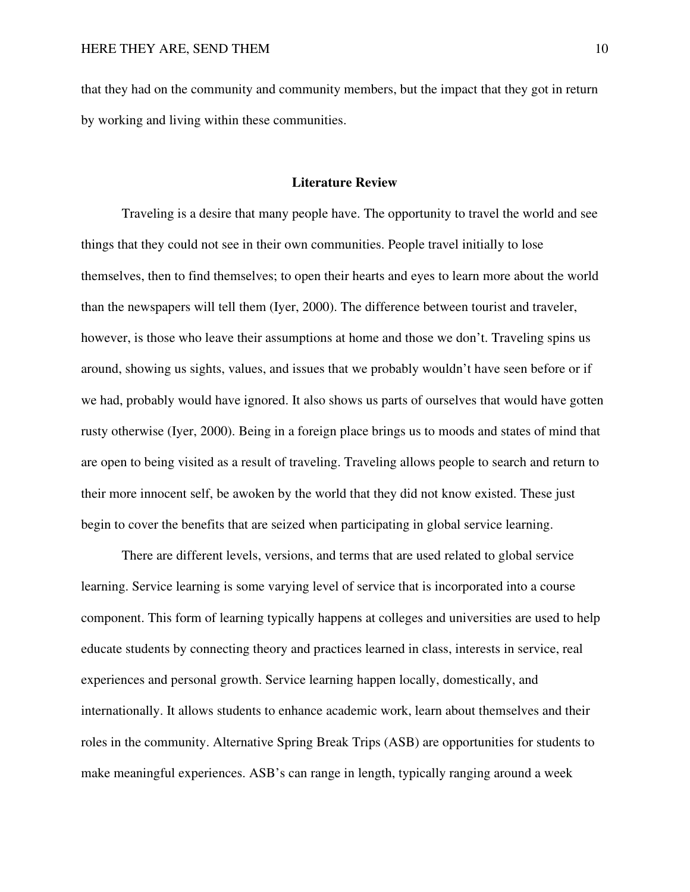that they had on the community and community members, but the impact that they got in return by working and living within these communities.

#### **Literature Review**

Traveling is a desire that many people have. The opportunity to travel the world and see things that they could not see in their own communities. People travel initially to lose themselves, then to find themselves; to open their hearts and eyes to learn more about the world than the newspapers will tell them (Iyer, 2000). The difference between tourist and traveler, however, is those who leave their assumptions at home and those we don't. Traveling spins us around, showing us sights, values, and issues that we probably wouldn't have seen before or if we had, probably would have ignored. It also shows us parts of ourselves that would have gotten rusty otherwise (Iyer, 2000). Being in a foreign place brings us to moods and states of mind that are open to being visited as a result of traveling. Traveling allows people to search and return to their more innocent self, be awoken by the world that they did not know existed. These just begin to cover the benefits that are seized when participating in global service learning.

There are different levels, versions, and terms that are used related to global service learning. Service learning is some varying level of service that is incorporated into a course component. This form of learning typically happens at colleges and universities are used to help educate students by connecting theory and practices learned in class, interests in service, real experiences and personal growth. Service learning happen locally, domestically, and internationally. It allows students to enhance academic work, learn about themselves and their roles in the community. Alternative Spring Break Trips (ASB) are opportunities for students to make meaningful experiences. ASB's can range in length, typically ranging around a week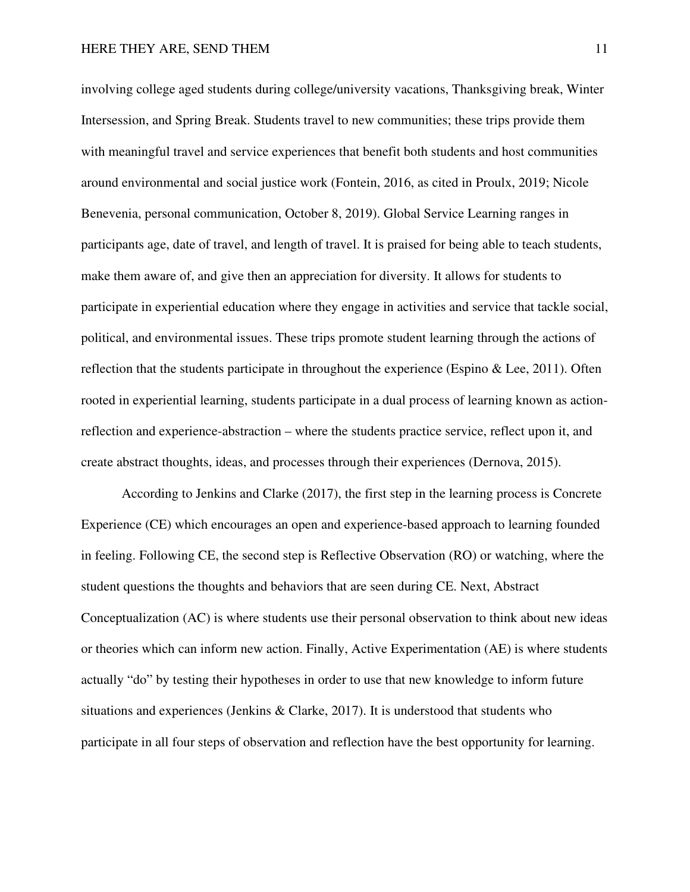involving college aged students during college/university vacations, Thanksgiving break, Winter Intersession, and Spring Break. Students travel to new communities; these trips provide them with meaningful travel and service experiences that benefit both students and host communities around environmental and social justice work (Fontein, 2016, as cited in Proulx, 2019; Nicole Benevenia, personal communication, October 8, 2019). Global Service Learning ranges in participants age, date of travel, and length of travel. It is praised for being able to teach students, make them aware of, and give then an appreciation for diversity. It allows for students to participate in experiential education where they engage in activities and service that tackle social, political, and environmental issues. These trips promote student learning through the actions of reflection that the students participate in throughout the experience (Espino  $\&$  Lee, 2011). Often rooted in experiential learning, students participate in a dual process of learning known as actionreflection and experience-abstraction – where the students practice service, reflect upon it, and create abstract thoughts, ideas, and processes through their experiences (Dernova, 2015).

According to Jenkins and Clarke (2017), the first step in the learning process is Concrete Experience (CE) which encourages an open and experience-based approach to learning founded in feeling. Following CE, the second step is Reflective Observation (RO) or watching, where the student questions the thoughts and behaviors that are seen during CE. Next, Abstract Conceptualization (AC) is where students use their personal observation to think about new ideas or theories which can inform new action. Finally, Active Experimentation (AE) is where students actually "do" by testing their hypotheses in order to use that new knowledge to inform future situations and experiences (Jenkins & Clarke, 2017). It is understood that students who participate in all four steps of observation and reflection have the best opportunity for learning.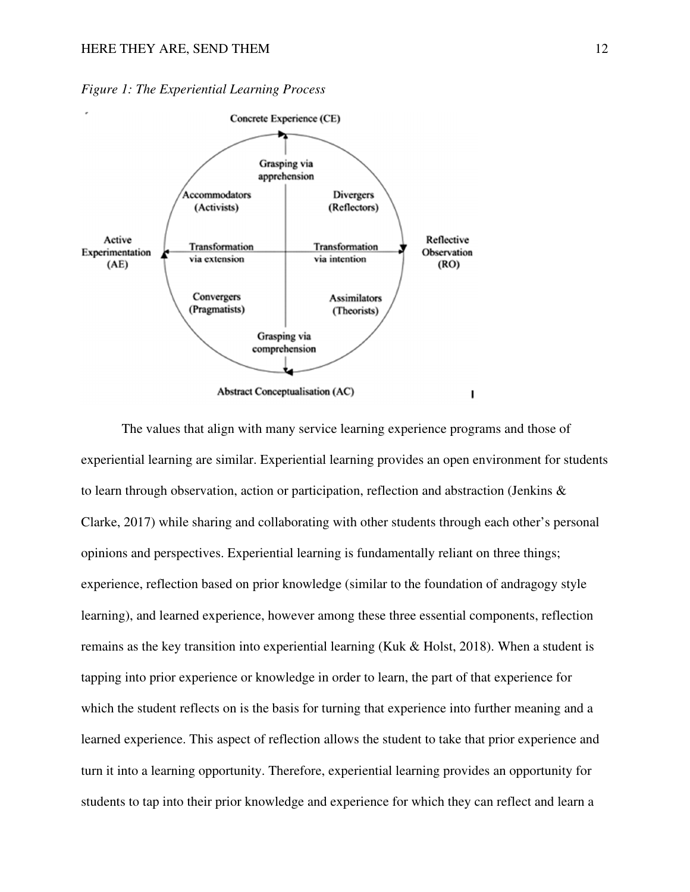

*Figure 1: The Experiential Learning Process*

 The values that align with many service learning experience programs and those of experiential learning are similar. Experiential learning provides an open environment for students to learn through observation, action or participation, reflection and abstraction (Jenkins  $\&$ Clarke, 2017) while sharing and collaborating with other students through each other's personal opinions and perspectives. Experiential learning is fundamentally reliant on three things; experience, reflection based on prior knowledge (similar to the foundation of andragogy style learning), and learned experience, however among these three essential components, reflection remains as the key transition into experiential learning (Kuk & Holst, 2018). When a student is tapping into prior experience or knowledge in order to learn, the part of that experience for which the student reflects on is the basis for turning that experience into further meaning and a learned experience. This aspect of reflection allows the student to take that prior experience and turn it into a learning opportunity. Therefore, experiential learning provides an opportunity for students to tap into their prior knowledge and experience for which they can reflect and learn a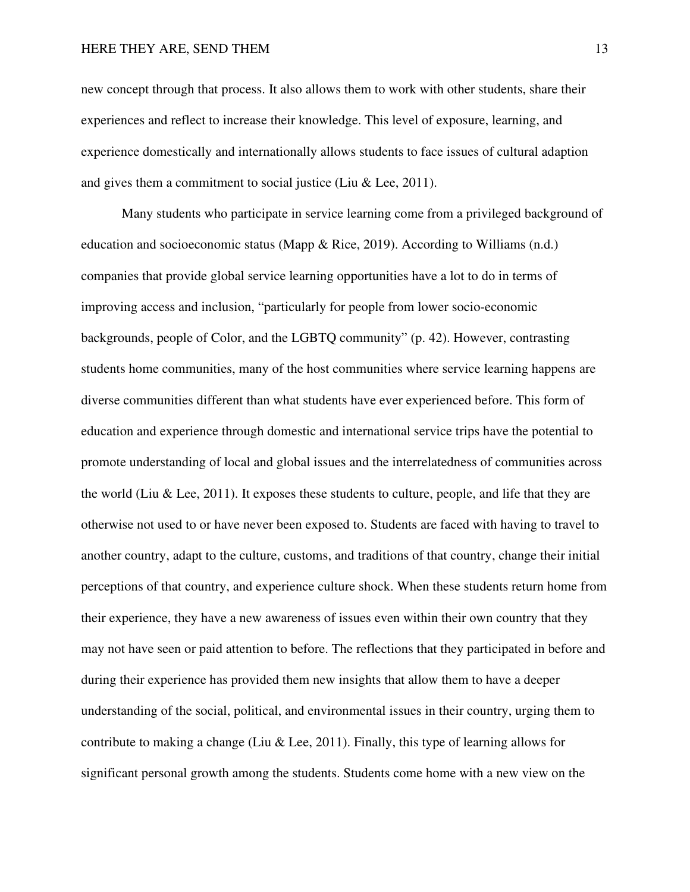new concept through that process. It also allows them to work with other students, share their experiences and reflect to increase their knowledge. This level of exposure, learning, and experience domestically and internationally allows students to face issues of cultural adaption and gives them a commitment to social justice (Liu & Lee, 2011).

Many students who participate in service learning come from a privileged background of education and socioeconomic status (Mapp & Rice, 2019). According to Williams (n.d.) companies that provide global service learning opportunities have a lot to do in terms of improving access and inclusion, "particularly for people from lower socio-economic backgrounds, people of Color, and the LGBTQ community" (p. 42). However, contrasting students home communities, many of the host communities where service learning happens are diverse communities different than what students have ever experienced before. This form of education and experience through domestic and international service trips have the potential to promote understanding of local and global issues and the interrelatedness of communities across the world (Liu & Lee, 2011). It exposes these students to culture, people, and life that they are otherwise not used to or have never been exposed to. Students are faced with having to travel to another country, adapt to the culture, customs, and traditions of that country, change their initial perceptions of that country, and experience culture shock. When these students return home from their experience, they have a new awareness of issues even within their own country that they may not have seen or paid attention to before. The reflections that they participated in before and during their experience has provided them new insights that allow them to have a deeper understanding of the social, political, and environmental issues in their country, urging them to contribute to making a change (Liu & Lee, 2011). Finally, this type of learning allows for significant personal growth among the students. Students come home with a new view on the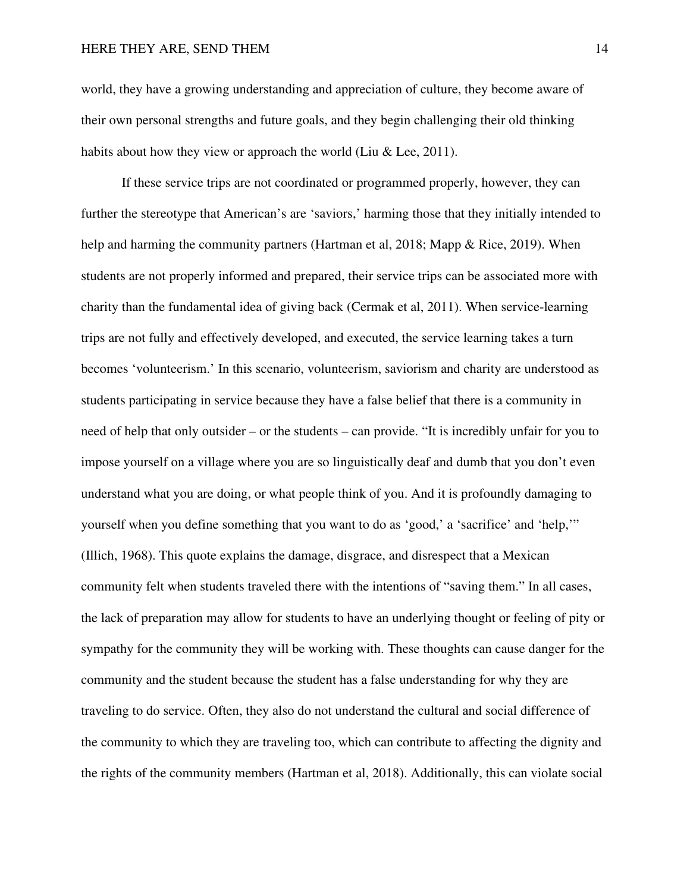world, they have a growing understanding and appreciation of culture, they become aware of their own personal strengths and future goals, and they begin challenging their old thinking habits about how they view or approach the world (Liu  $&$  Lee, 2011).

If these service trips are not coordinated or programmed properly, however, they can further the stereotype that American's are 'saviors,' harming those that they initially intended to help and harming the community partners (Hartman et al, 2018; Mapp & Rice, 2019). When students are not properly informed and prepared, their service trips can be associated more with charity than the fundamental idea of giving back (Cermak et al, 2011). When service-learning trips are not fully and effectively developed, and executed, the service learning takes a turn becomes 'volunteerism.' In this scenario, volunteerism, saviorism and charity are understood as students participating in service because they have a false belief that there is a community in need of help that only outsider – or the students – can provide. "It is incredibly unfair for you to impose yourself on a village where you are so linguistically deaf and dumb that you don't even understand what you are doing, or what people think of you. And it is profoundly damaging to yourself when you define something that you want to do as 'good,' a 'sacrifice' and 'help,'" (Illich, 1968). This quote explains the damage, disgrace, and disrespect that a Mexican community felt when students traveled there with the intentions of "saving them." In all cases, the lack of preparation may allow for students to have an underlying thought or feeling of pity or sympathy for the community they will be working with. These thoughts can cause danger for the community and the student because the student has a false understanding for why they are traveling to do service. Often, they also do not understand the cultural and social difference of the community to which they are traveling too, which can contribute to affecting the dignity and the rights of the community members (Hartman et al, 2018). Additionally, this can violate social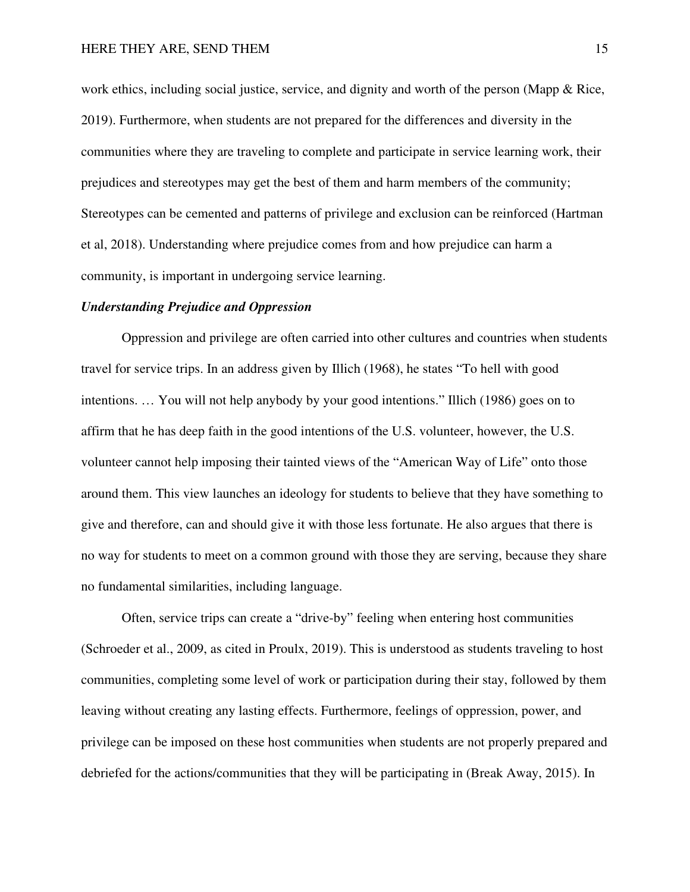work ethics, including social justice, service, and dignity and worth of the person (Mapp & Rice, 2019). Furthermore, when students are not prepared for the differences and diversity in the communities where they are traveling to complete and participate in service learning work, their prejudices and stereotypes may get the best of them and harm members of the community; Stereotypes can be cemented and patterns of privilege and exclusion can be reinforced (Hartman et al, 2018). Understanding where prejudice comes from and how prejudice can harm a community, is important in undergoing service learning.

#### *Understanding Prejudice and Oppression*

 Oppression and privilege are often carried into other cultures and countries when students travel for service trips. In an address given by Illich (1968), he states "To hell with good intentions. … You will not help anybody by your good intentions." Illich (1986) goes on to affirm that he has deep faith in the good intentions of the U.S. volunteer, however, the U.S. volunteer cannot help imposing their tainted views of the "American Way of Life" onto those around them. This view launches an ideology for students to believe that they have something to give and therefore, can and should give it with those less fortunate. He also argues that there is no way for students to meet on a common ground with those they are serving, because they share no fundamental similarities, including language.

Often, service trips can create a "drive-by" feeling when entering host communities (Schroeder et al., 2009, as cited in Proulx, 2019). This is understood as students traveling to host communities, completing some level of work or participation during their stay, followed by them leaving without creating any lasting effects. Furthermore, feelings of oppression, power, and privilege can be imposed on these host communities when students are not properly prepared and debriefed for the actions/communities that they will be participating in (Break Away, 2015). In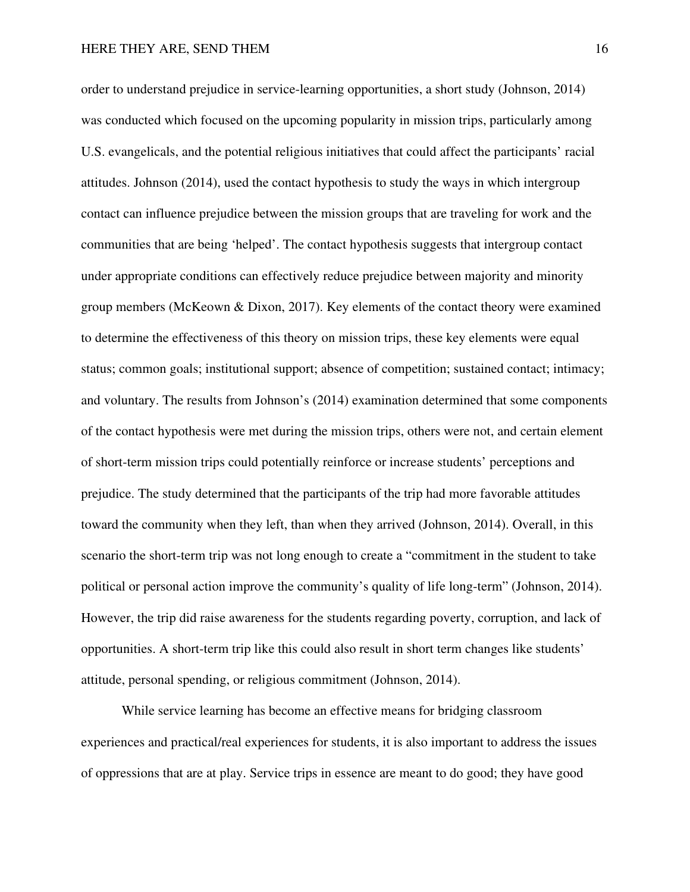order to understand prejudice in service-learning opportunities, a short study (Johnson, 2014) was conducted which focused on the upcoming popularity in mission trips, particularly among U.S. evangelicals, and the potential religious initiatives that could affect the participants' racial attitudes. Johnson (2014), used the contact hypothesis to study the ways in which intergroup contact can influence prejudice between the mission groups that are traveling for work and the communities that are being 'helped'. The contact hypothesis suggests that intergroup contact under appropriate conditions can effectively reduce prejudice between majority and minority group members (McKeown & Dixon, 2017). Key elements of the contact theory were examined to determine the effectiveness of this theory on mission trips, these key elements were equal status; common goals; institutional support; absence of competition; sustained contact; intimacy; and voluntary. The results from Johnson's (2014) examination determined that some components of the contact hypothesis were met during the mission trips, others were not, and certain element of short-term mission trips could potentially reinforce or increase students' perceptions and prejudice. The study determined that the participants of the trip had more favorable attitudes toward the community when they left, than when they arrived (Johnson, 2014). Overall, in this scenario the short-term trip was not long enough to create a "commitment in the student to take political or personal action improve the community's quality of life long-term" (Johnson, 2014). However, the trip did raise awareness for the students regarding poverty, corruption, and lack of opportunities. A short-term trip like this could also result in short term changes like students' attitude, personal spending, or religious commitment (Johnson, 2014).

While service learning has become an effective means for bridging classroom experiences and practical/real experiences for students, it is also important to address the issues of oppressions that are at play. Service trips in essence are meant to do good; they have good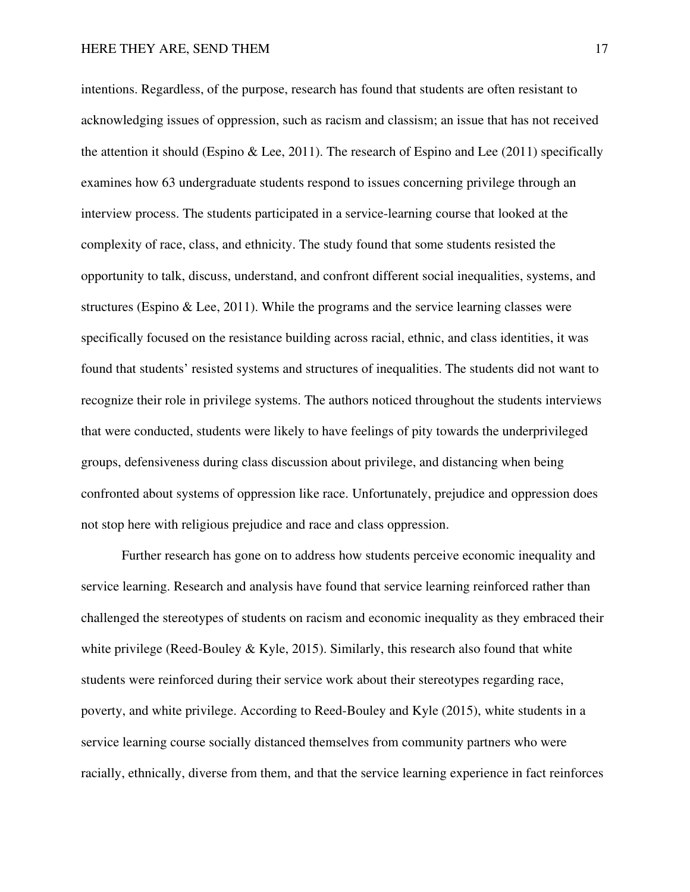intentions. Regardless, of the purpose, research has found that students are often resistant to acknowledging issues of oppression, such as racism and classism; an issue that has not received the attention it should (Espino & Lee, 2011). The research of Espino and Lee  $(2011)$  specifically examines how 63 undergraduate students respond to issues concerning privilege through an interview process. The students participated in a service-learning course that looked at the complexity of race, class, and ethnicity. The study found that some students resisted the opportunity to talk, discuss, understand, and confront different social inequalities, systems, and structures (Espino & Lee, 2011). While the programs and the service learning classes were specifically focused on the resistance building across racial, ethnic, and class identities, it was found that students' resisted systems and structures of inequalities. The students did not want to recognize their role in privilege systems. The authors noticed throughout the students interviews that were conducted, students were likely to have feelings of pity towards the underprivileged groups, defensiveness during class discussion about privilege, and distancing when being confronted about systems of oppression like race. Unfortunately, prejudice and oppression does not stop here with religious prejudice and race and class oppression.

Further research has gone on to address how students perceive economic inequality and service learning. Research and analysis have found that service learning reinforced rather than challenged the stereotypes of students on racism and economic inequality as they embraced their white privilege (Reed-Bouley & Kyle, 2015). Similarly, this research also found that white students were reinforced during their service work about their stereotypes regarding race, poverty, and white privilege. According to Reed-Bouley and Kyle (2015), white students in a service learning course socially distanced themselves from community partners who were racially, ethnically, diverse from them, and that the service learning experience in fact reinforces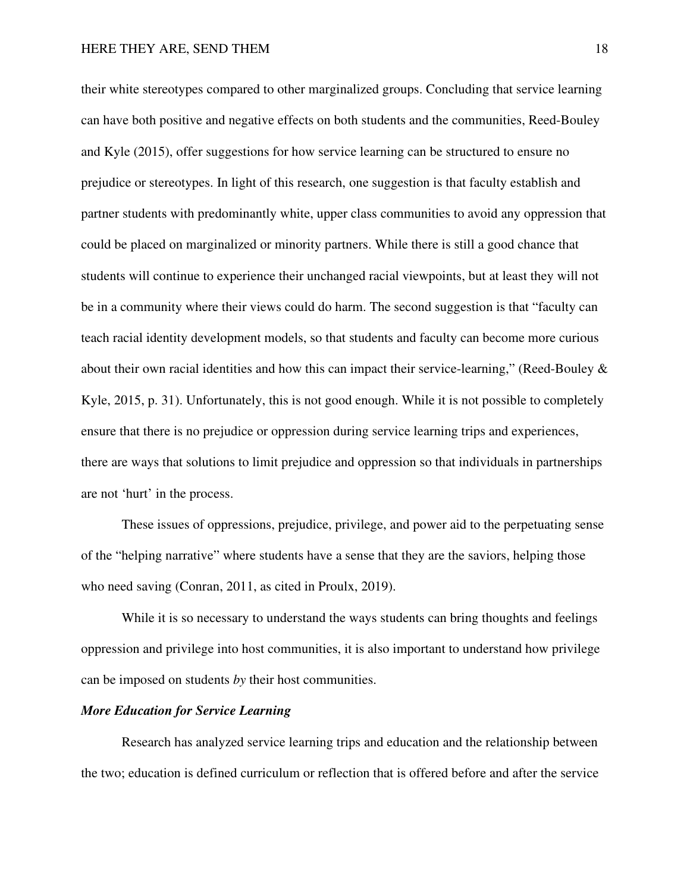their white stereotypes compared to other marginalized groups. Concluding that service learning can have both positive and negative effects on both students and the communities, Reed-Bouley and Kyle (2015), offer suggestions for how service learning can be structured to ensure no prejudice or stereotypes. In light of this research, one suggestion is that faculty establish and partner students with predominantly white, upper class communities to avoid any oppression that could be placed on marginalized or minority partners. While there is still a good chance that students will continue to experience their unchanged racial viewpoints, but at least they will not be in a community where their views could do harm. The second suggestion is that "faculty can teach racial identity development models, so that students and faculty can become more curious about their own racial identities and how this can impact their service-learning," (Reed-Bouley & Kyle, 2015, p. 31). Unfortunately, this is not good enough. While it is not possible to completely ensure that there is no prejudice or oppression during service learning trips and experiences, there are ways that solutions to limit prejudice and oppression so that individuals in partnerships are not 'hurt' in the process.

These issues of oppressions, prejudice, privilege, and power aid to the perpetuating sense of the "helping narrative" where students have a sense that they are the saviors, helping those who need saving (Conran, 2011, as cited in Proulx, 2019).

While it is so necessary to understand the ways students can bring thoughts and feelings oppression and privilege into host communities, it is also important to understand how privilege can be imposed on students *by* their host communities.

## *More Education for Service Learning*

Research has analyzed service learning trips and education and the relationship between the two; education is defined curriculum or reflection that is offered before and after the service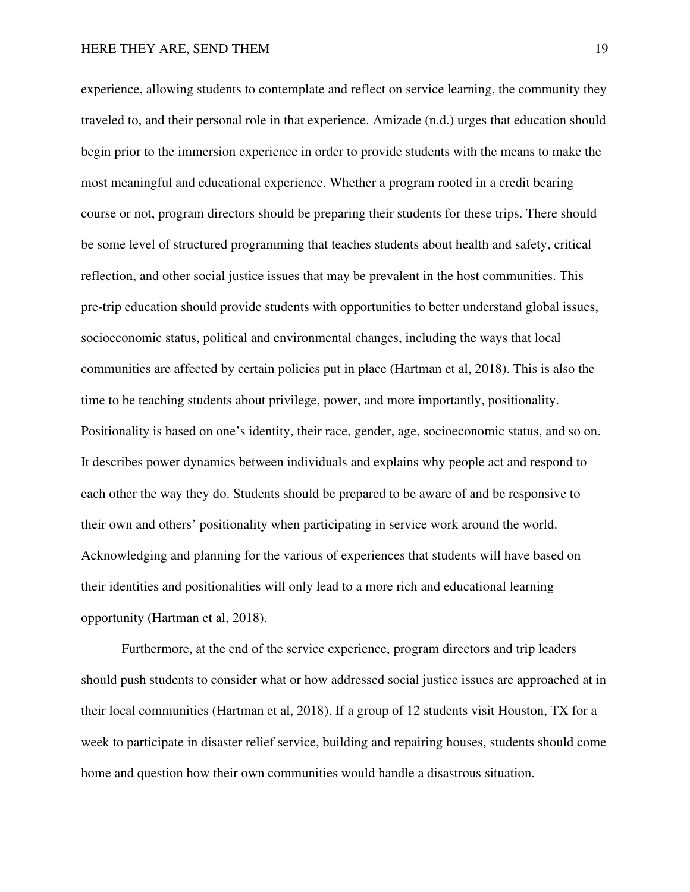experience, allowing students to contemplate and reflect on service learning, the community they traveled to, and their personal role in that experience. Amizade (n.d.) urges that education should begin prior to the immersion experience in order to provide students with the means to make the most meaningful and educational experience. Whether a program rooted in a credit bearing course or not, program directors should be preparing their students for these trips. There should be some level of structured programming that teaches students about health and safety, critical reflection, and other social justice issues that may be prevalent in the host communities. This pre-trip education should provide students with opportunities to better understand global issues, socioeconomic status, political and environmental changes, including the ways that local communities are affected by certain policies put in place (Hartman et al, 2018). This is also the time to be teaching students about privilege, power, and more importantly, positionality. Positionality is based on one's identity, their race, gender, age, socioeconomic status, and so on. It describes power dynamics between individuals and explains why people act and respond to each other the way they do. Students should be prepared to be aware of and be responsive to their own and others' positionality when participating in service work around the world. Acknowledging and planning for the various of experiences that students will have based on their identities and positionalities will only lead to a more rich and educational learning opportunity (Hartman et al, 2018).

Furthermore, at the end of the service experience, program directors and trip leaders should push students to consider what or how addressed social justice issues are approached at in their local communities (Hartman et al, 2018). If a group of 12 students visit Houston, TX for a week to participate in disaster relief service, building and repairing houses, students should come home and question how their own communities would handle a disastrous situation.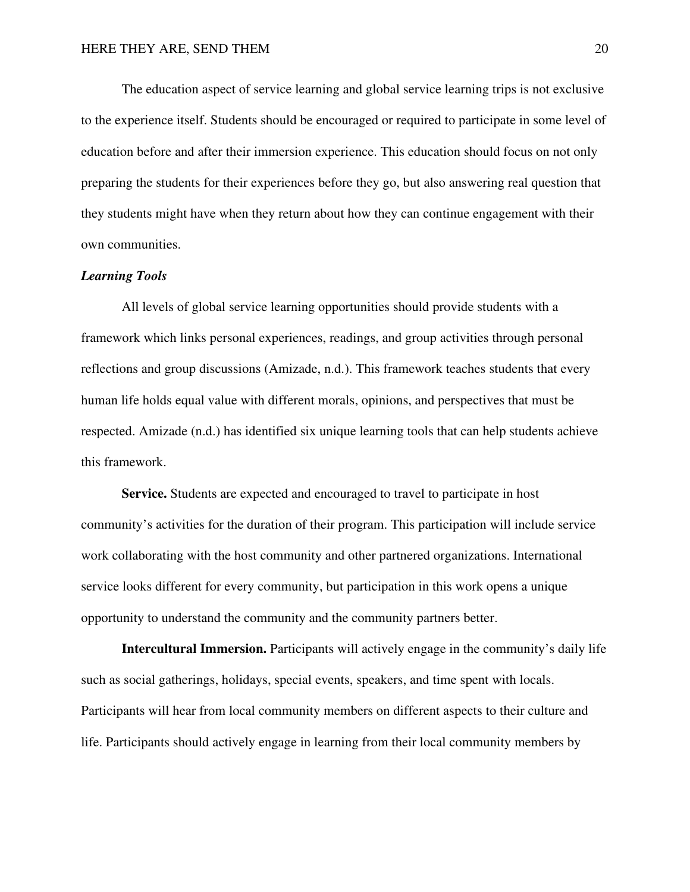The education aspect of service learning and global service learning trips is not exclusive to the experience itself. Students should be encouraged or required to participate in some level of education before and after their immersion experience. This education should focus on not only preparing the students for their experiences before they go, but also answering real question that they students might have when they return about how they can continue engagement with their own communities.

#### *Learning Tools*

All levels of global service learning opportunities should provide students with a framework which links personal experiences, readings, and group activities through personal reflections and group discussions (Amizade, n.d.). This framework teaches students that every human life holds equal value with different morals, opinions, and perspectives that must be respected. Amizade (n.d.) has identified six unique learning tools that can help students achieve this framework.

**Service.** Students are expected and encouraged to travel to participate in host community's activities for the duration of their program. This participation will include service work collaborating with the host community and other partnered organizations. International service looks different for every community, but participation in this work opens a unique opportunity to understand the community and the community partners better.

**Intercultural Immersion.** Participants will actively engage in the community's daily life such as social gatherings, holidays, special events, speakers, and time spent with locals. Participants will hear from local community members on different aspects to their culture and life. Participants should actively engage in learning from their local community members by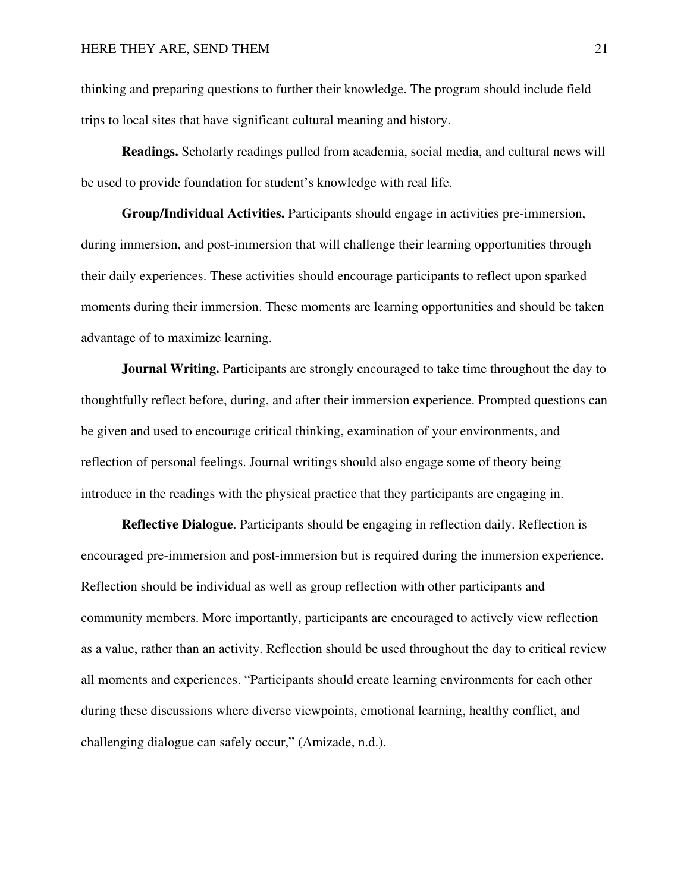thinking and preparing questions to further their knowledge. The program should include field trips to local sites that have significant cultural meaning and history.

**Readings.** Scholarly readings pulled from academia, social media, and cultural news will be used to provide foundation for student's knowledge with real life.

**Group/Individual Activities.** Participants should engage in activities pre-immersion, during immersion, and post-immersion that will challenge their learning opportunities through their daily experiences. These activities should encourage participants to reflect upon sparked moments during their immersion. These moments are learning opportunities and should be taken advantage of to maximize learning.

**Journal Writing.** Participants are strongly encouraged to take time throughout the day to thoughtfully reflect before, during, and after their immersion experience. Prompted questions can be given and used to encourage critical thinking, examination of your environments, and reflection of personal feelings. Journal writings should also engage some of theory being introduce in the readings with the physical practice that they participants are engaging in.

**Reflective Dialogue**. Participants should be engaging in reflection daily. Reflection is encouraged pre-immersion and post-immersion but is required during the immersion experience. Reflection should be individual as well as group reflection with other participants and community members. More importantly, participants are encouraged to actively view reflection as a value, rather than an activity. Reflection should be used throughout the day to critical review all moments and experiences. "Participants should create learning environments for each other during these discussions where diverse viewpoints, emotional learning, healthy conflict, and challenging dialogue can safely occur," (Amizade, n.d.).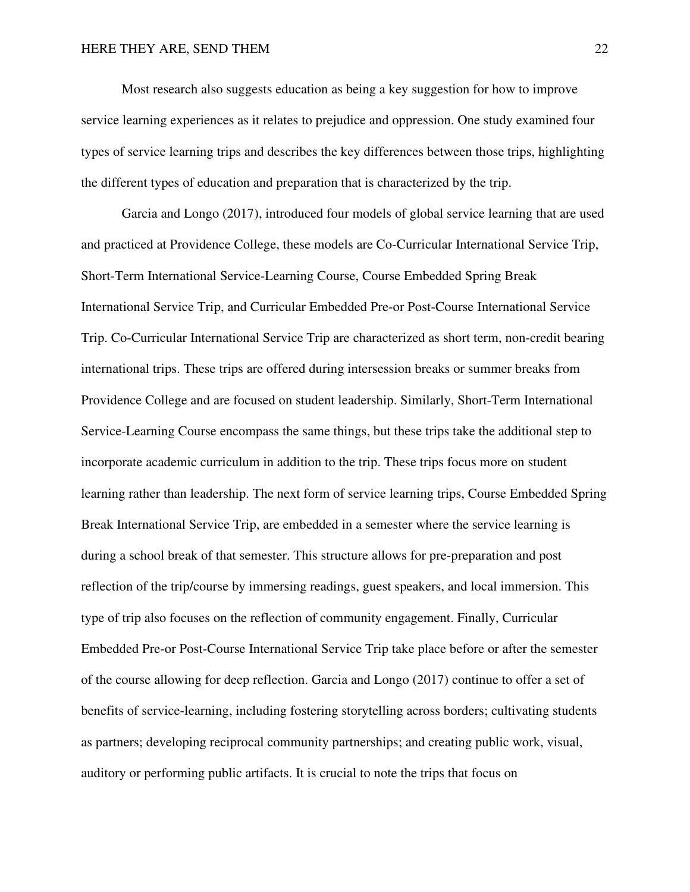Most research also suggests education as being a key suggestion for how to improve service learning experiences as it relates to prejudice and oppression. One study examined four types of service learning trips and describes the key differences between those trips, highlighting the different types of education and preparation that is characterized by the trip.

Garcia and Longo (2017), introduced four models of global service learning that are used and practiced at Providence College, these models are Co-Curricular International Service Trip, Short-Term International Service-Learning Course, Course Embedded Spring Break International Service Trip, and Curricular Embedded Pre-or Post-Course International Service Trip. Co-Curricular International Service Trip are characterized as short term, non-credit bearing international trips. These trips are offered during intersession breaks or summer breaks from Providence College and are focused on student leadership. Similarly, Short-Term International Service-Learning Course encompass the same things, but these trips take the additional step to incorporate academic curriculum in addition to the trip. These trips focus more on student learning rather than leadership. The next form of service learning trips, Course Embedded Spring Break International Service Trip, are embedded in a semester where the service learning is during a school break of that semester. This structure allows for pre-preparation and post reflection of the trip/course by immersing readings, guest speakers, and local immersion. This type of trip also focuses on the reflection of community engagement. Finally, Curricular Embedded Pre-or Post-Course International Service Trip take place before or after the semester of the course allowing for deep reflection. Garcia and Longo (2017) continue to offer a set of benefits of service-learning, including fostering storytelling across borders; cultivating students as partners; developing reciprocal community partnerships; and creating public work, visual, auditory or performing public artifacts. It is crucial to note the trips that focus on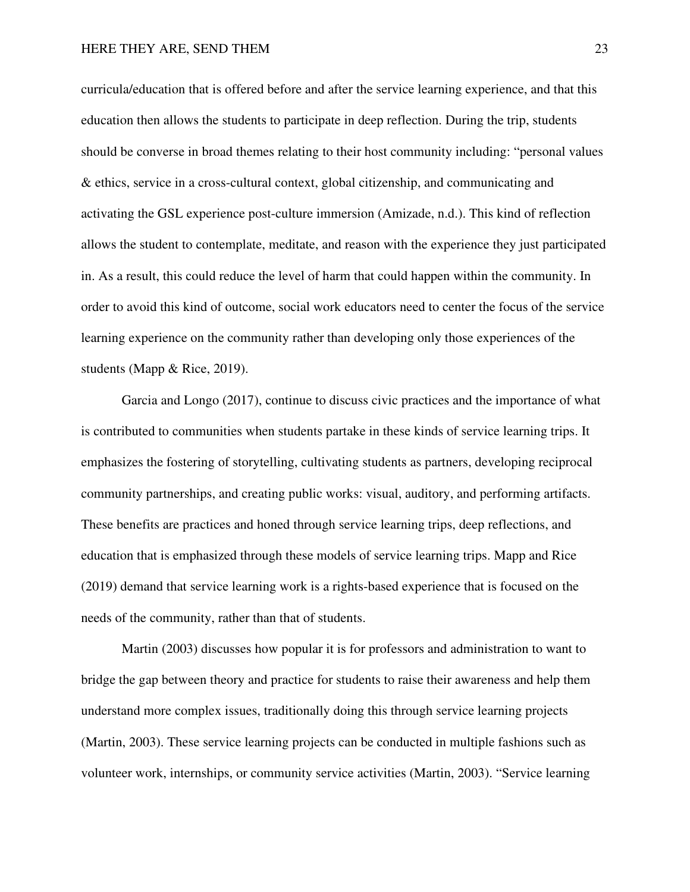curricula/education that is offered before and after the service learning experience, and that this education then allows the students to participate in deep reflection. During the trip, students should be converse in broad themes relating to their host community including: "personal values & ethics, service in a cross-cultural context, global citizenship, and communicating and activating the GSL experience post-culture immersion (Amizade, n.d.). This kind of reflection allows the student to contemplate, meditate, and reason with the experience they just participated in. As a result, this could reduce the level of harm that could happen within the community. In order to avoid this kind of outcome, social work educators need to center the focus of the service learning experience on the community rather than developing only those experiences of the students (Mapp & Rice, 2019).

Garcia and Longo (2017), continue to discuss civic practices and the importance of what is contributed to communities when students partake in these kinds of service learning trips. It emphasizes the fostering of storytelling, cultivating students as partners, developing reciprocal community partnerships, and creating public works: visual, auditory, and performing artifacts. These benefits are practices and honed through service learning trips, deep reflections, and education that is emphasized through these models of service learning trips. Mapp and Rice (2019) demand that service learning work is a rights-based experience that is focused on the needs of the community, rather than that of students.

Martin (2003) discusses how popular it is for professors and administration to want to bridge the gap between theory and practice for students to raise their awareness and help them understand more complex issues, traditionally doing this through service learning projects (Martin, 2003). These service learning projects can be conducted in multiple fashions such as volunteer work, internships, or community service activities (Martin, 2003). "Service learning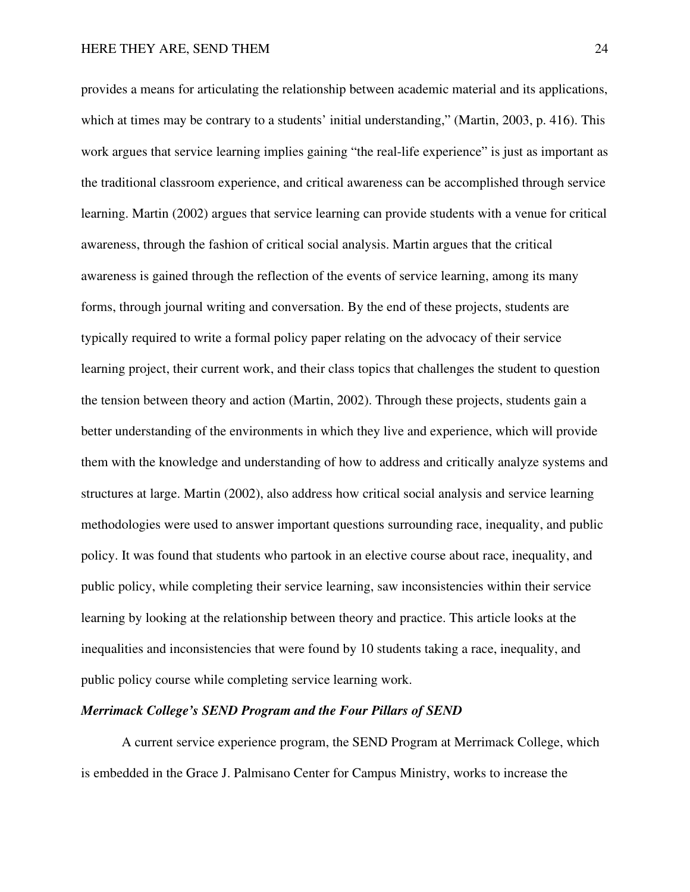provides a means for articulating the relationship between academic material and its applications, which at times may be contrary to a students' initial understanding," (Martin, 2003, p. 416). This work argues that service learning implies gaining "the real-life experience" is just as important as the traditional classroom experience, and critical awareness can be accomplished through service learning. Martin (2002) argues that service learning can provide students with a venue for critical awareness, through the fashion of critical social analysis. Martin argues that the critical awareness is gained through the reflection of the events of service learning, among its many forms, through journal writing and conversation. By the end of these projects, students are typically required to write a formal policy paper relating on the advocacy of their service learning project, their current work, and their class topics that challenges the student to question the tension between theory and action (Martin, 2002). Through these projects, students gain a better understanding of the environments in which they live and experience, which will provide them with the knowledge and understanding of how to address and critically analyze systems and structures at large. Martin (2002), also address how critical social analysis and service learning methodologies were used to answer important questions surrounding race, inequality, and public policy. It was found that students who partook in an elective course about race, inequality, and public policy, while completing their service learning, saw inconsistencies within their service learning by looking at the relationship between theory and practice. This article looks at the inequalities and inconsistencies that were found by 10 students taking a race, inequality, and public policy course while completing service learning work.

#### *Merrimack College's SEND Program and the Four Pillars of SEND*

A current service experience program, the SEND Program at Merrimack College, which is embedded in the Grace J. Palmisano Center for Campus Ministry, works to increase the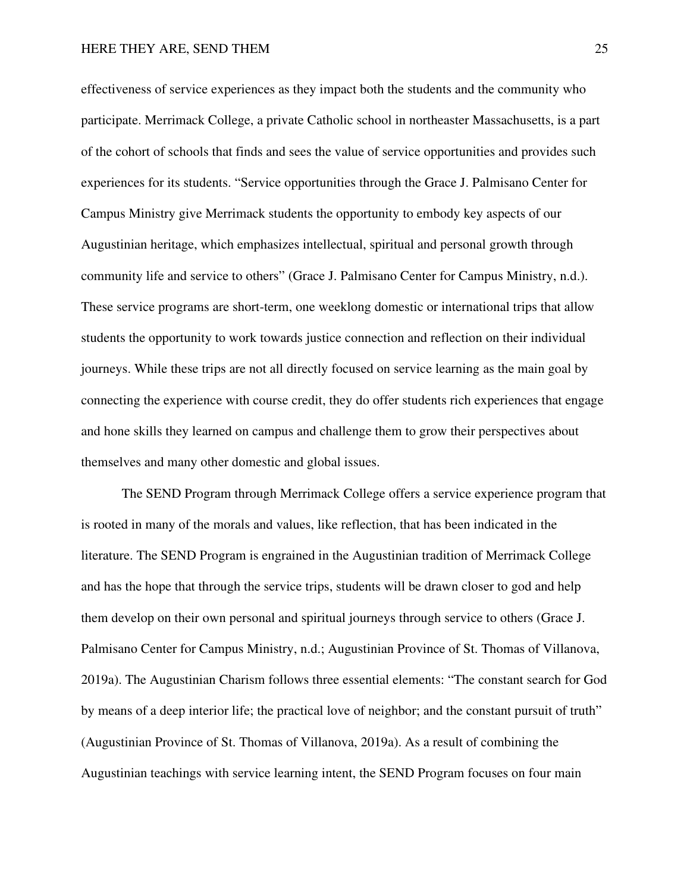effectiveness of service experiences as they impact both the students and the community who participate. Merrimack College, a private Catholic school in northeaster Massachusetts, is a part of the cohort of schools that finds and sees the value of service opportunities and provides such experiences for its students. "Service opportunities through the Grace J. Palmisano Center for Campus Ministry give Merrimack students the opportunity to embody key aspects of our Augustinian heritage, which emphasizes intellectual, spiritual and personal growth through community life and service to others" (Grace J. Palmisano Center for Campus Ministry, n.d.). These service programs are short-term, one weeklong domestic or international trips that allow students the opportunity to work towards justice connection and reflection on their individual journeys. While these trips are not all directly focused on service learning as the main goal by connecting the experience with course credit, they do offer students rich experiences that engage and hone skills they learned on campus and challenge them to grow their perspectives about themselves and many other domestic and global issues.

The SEND Program through Merrimack College offers a service experience program that is rooted in many of the morals and values, like reflection, that has been indicated in the literature. The SEND Program is engrained in the Augustinian tradition of Merrimack College and has the hope that through the service trips, students will be drawn closer to god and help them develop on their own personal and spiritual journeys through service to others (Grace J. Palmisano Center for Campus Ministry, n.d.; Augustinian Province of St. Thomas of Villanova, 2019a). The Augustinian Charism follows three essential elements: "The constant search for God by means of a deep interior life; the practical love of neighbor; and the constant pursuit of truth" (Augustinian Province of St. Thomas of Villanova, 2019a). As a result of combining the Augustinian teachings with service learning intent, the SEND Program focuses on four main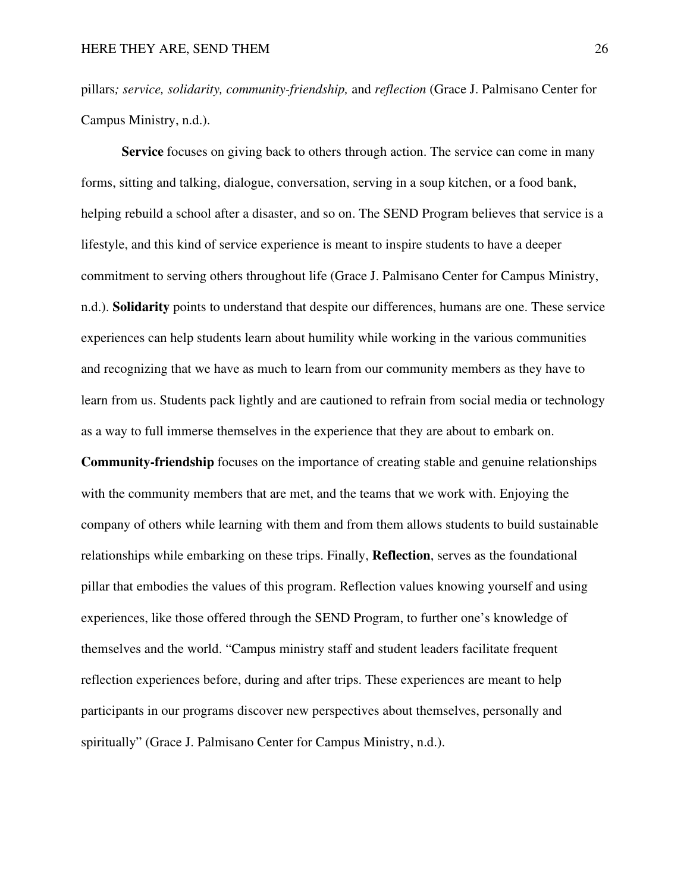pillars*; service, solidarity, community-friendship,* and *reflection* (Grace J. Palmisano Center for Campus Ministry, n.d.).

**Service** focuses on giving back to others through action. The service can come in many forms, sitting and talking, dialogue, conversation, serving in a soup kitchen, or a food bank, helping rebuild a school after a disaster, and so on. The SEND Program believes that service is a lifestyle, and this kind of service experience is meant to inspire students to have a deeper commitment to serving others throughout life (Grace J. Palmisano Center for Campus Ministry, n.d.). **Solidarity** points to understand that despite our differences, humans are one. These service experiences can help students learn about humility while working in the various communities and recognizing that we have as much to learn from our community members as they have to learn from us. Students pack lightly and are cautioned to refrain from social media or technology as a way to full immerse themselves in the experience that they are about to embark on.

**Community-friendship** focuses on the importance of creating stable and genuine relationships with the community members that are met, and the teams that we work with. Enjoying the company of others while learning with them and from them allows students to build sustainable relationships while embarking on these trips. Finally, **Reflection**, serves as the foundational pillar that embodies the values of this program. Reflection values knowing yourself and using experiences, like those offered through the SEND Program, to further one's knowledge of themselves and the world. "Campus ministry staff and student leaders facilitate frequent reflection experiences before, during and after trips. These experiences are meant to help participants in our programs discover new perspectives about themselves, personally and spiritually" (Grace J. Palmisano Center for Campus Ministry, n.d.).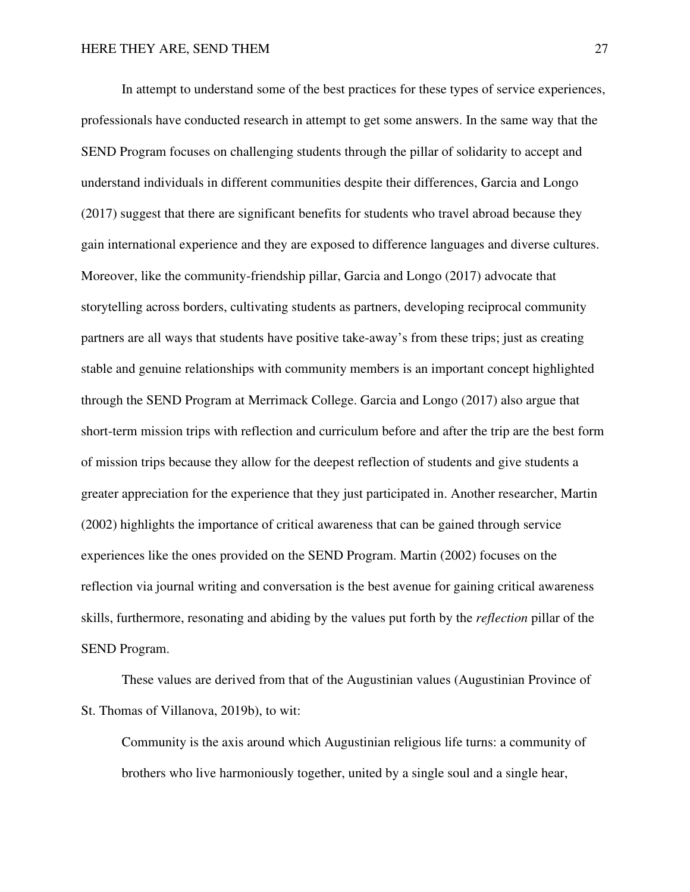In attempt to understand some of the best practices for these types of service experiences, professionals have conducted research in attempt to get some answers. In the same way that the SEND Program focuses on challenging students through the pillar of solidarity to accept and understand individuals in different communities despite their differences, Garcia and Longo (2017) suggest that there are significant benefits for students who travel abroad because they gain international experience and they are exposed to difference languages and diverse cultures. Moreover, like the community-friendship pillar, Garcia and Longo (2017) advocate that storytelling across borders, cultivating students as partners, developing reciprocal community partners are all ways that students have positive take-away's from these trips; just as creating stable and genuine relationships with community members is an important concept highlighted through the SEND Program at Merrimack College. Garcia and Longo (2017) also argue that short-term mission trips with reflection and curriculum before and after the trip are the best form of mission trips because they allow for the deepest reflection of students and give students a greater appreciation for the experience that they just participated in. Another researcher, Martin (2002) highlights the importance of critical awareness that can be gained through service experiences like the ones provided on the SEND Program. Martin (2002) focuses on the reflection via journal writing and conversation is the best avenue for gaining critical awareness skills, furthermore, resonating and abiding by the values put forth by the *reflection* pillar of the SEND Program.

 These values are derived from that of the Augustinian values (Augustinian Province of St. Thomas of Villanova, 2019b), to wit:

Community is the axis around which Augustinian religious life turns: a community of brothers who live harmoniously together, united by a single soul and a single hear,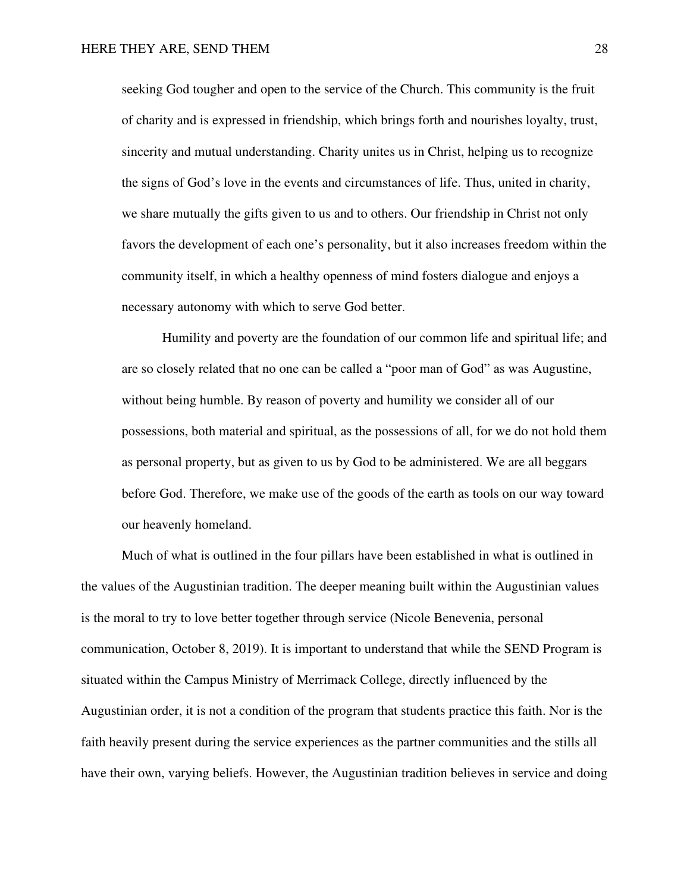seeking God tougher and open to the service of the Church. This community is the fruit of charity and is expressed in friendship, which brings forth and nourishes loyalty, trust, sincerity and mutual understanding. Charity unites us in Christ, helping us to recognize the signs of God's love in the events and circumstances of life. Thus, united in charity, we share mutually the gifts given to us and to others. Our friendship in Christ not only favors the development of each one's personality, but it also increases freedom within the community itself, in which a healthy openness of mind fosters dialogue and enjoys a necessary autonomy with which to serve God better.

 Humility and poverty are the foundation of our common life and spiritual life; and are so closely related that no one can be called a "poor man of God" as was Augustine, without being humble. By reason of poverty and humility we consider all of our possessions, both material and spiritual, as the possessions of all, for we do not hold them as personal property, but as given to us by God to be administered. We are all beggars before God. Therefore, we make use of the goods of the earth as tools on our way toward our heavenly homeland.

Much of what is outlined in the four pillars have been established in what is outlined in the values of the Augustinian tradition. The deeper meaning built within the Augustinian values is the moral to try to love better together through service (Nicole Benevenia, personal communication, October 8, 2019). It is important to understand that while the SEND Program is situated within the Campus Ministry of Merrimack College, directly influenced by the Augustinian order, it is not a condition of the program that students practice this faith. Nor is the faith heavily present during the service experiences as the partner communities and the stills all have their own, varying beliefs. However, the Augustinian tradition believes in service and doing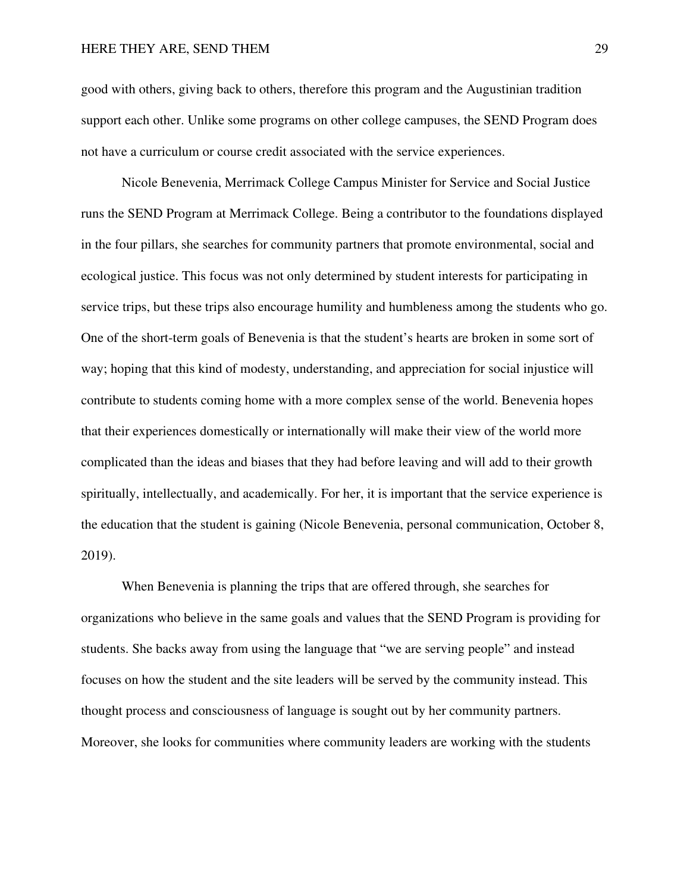good with others, giving back to others, therefore this program and the Augustinian tradition support each other. Unlike some programs on other college campuses, the SEND Program does not have a curriculum or course credit associated with the service experiences.

Nicole Benevenia, Merrimack College Campus Minister for Service and Social Justice runs the SEND Program at Merrimack College. Being a contributor to the foundations displayed in the four pillars, she searches for community partners that promote environmental, social and ecological justice. This focus was not only determined by student interests for participating in service trips, but these trips also encourage humility and humbleness among the students who go. One of the short-term goals of Benevenia is that the student's hearts are broken in some sort of way; hoping that this kind of modesty, understanding, and appreciation for social injustice will contribute to students coming home with a more complex sense of the world. Benevenia hopes that their experiences domestically or internationally will make their view of the world more complicated than the ideas and biases that they had before leaving and will add to their growth spiritually, intellectually, and academically. For her, it is important that the service experience is the education that the student is gaining (Nicole Benevenia, personal communication, October 8, 2019).

When Benevenia is planning the trips that are offered through, she searches for organizations who believe in the same goals and values that the SEND Program is providing for students. She backs away from using the language that "we are serving people" and instead focuses on how the student and the site leaders will be served by the community instead. This thought process and consciousness of language is sought out by her community partners. Moreover, she looks for communities where community leaders are working with the students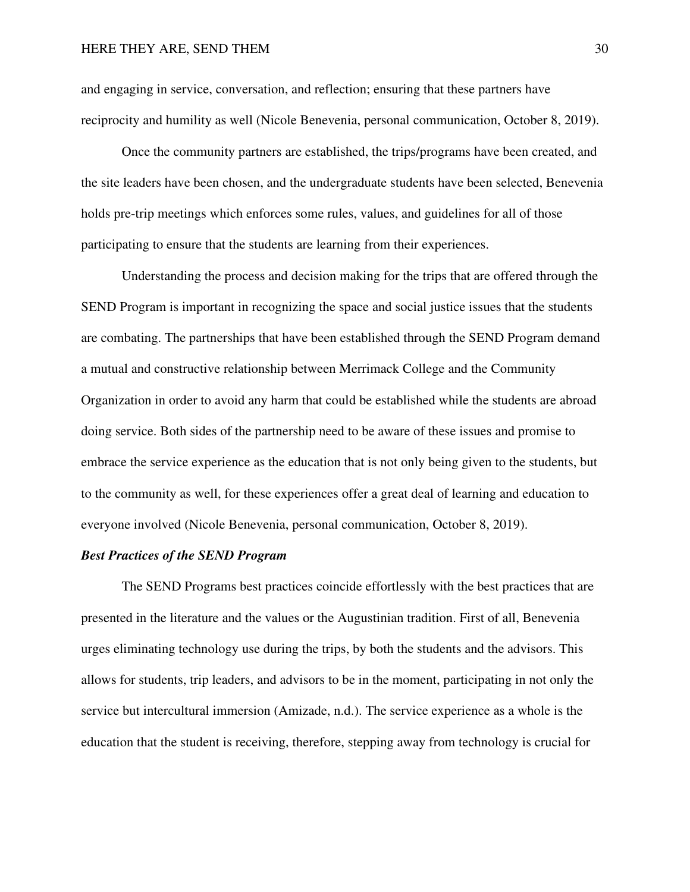and engaging in service, conversation, and reflection; ensuring that these partners have reciprocity and humility as well (Nicole Benevenia, personal communication, October 8, 2019).

Once the community partners are established, the trips/programs have been created, and the site leaders have been chosen, and the undergraduate students have been selected, Benevenia holds pre-trip meetings which enforces some rules, values, and guidelines for all of those participating to ensure that the students are learning from their experiences.

 Understanding the process and decision making for the trips that are offered through the SEND Program is important in recognizing the space and social justice issues that the students are combating. The partnerships that have been established through the SEND Program demand a mutual and constructive relationship between Merrimack College and the Community Organization in order to avoid any harm that could be established while the students are abroad doing service. Both sides of the partnership need to be aware of these issues and promise to embrace the service experience as the education that is not only being given to the students, but to the community as well, for these experiences offer a great deal of learning and education to everyone involved (Nicole Benevenia, personal communication, October 8, 2019).

#### *Best Practices of the SEND Program*

The SEND Programs best practices coincide effortlessly with the best practices that are presented in the literature and the values or the Augustinian tradition. First of all, Benevenia urges eliminating technology use during the trips, by both the students and the advisors. This allows for students, trip leaders, and advisors to be in the moment, participating in not only the service but intercultural immersion (Amizade, n.d.). The service experience as a whole is the education that the student is receiving, therefore, stepping away from technology is crucial for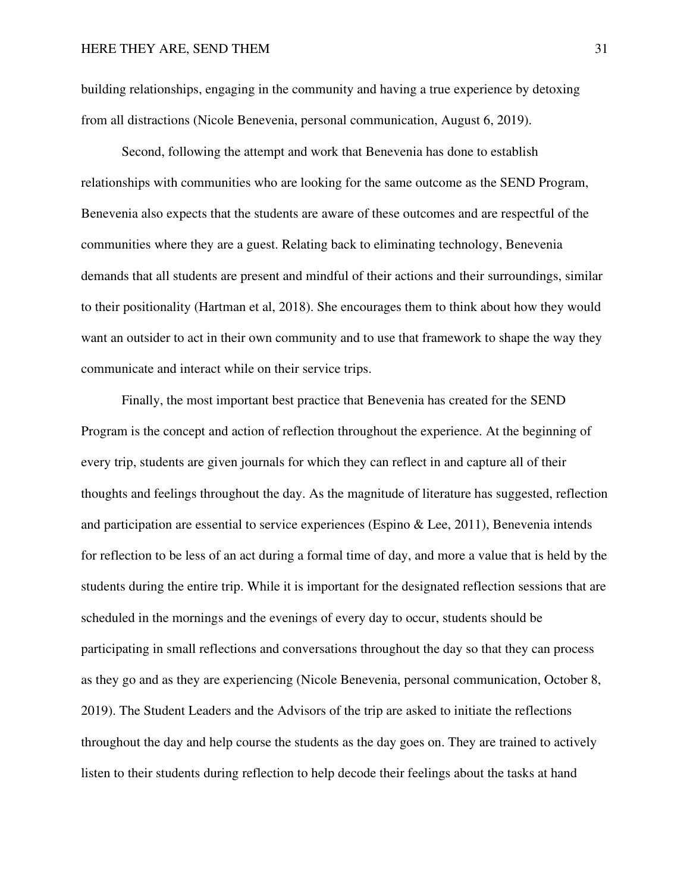building relationships, engaging in the community and having a true experience by detoxing from all distractions (Nicole Benevenia, personal communication, August 6, 2019).

 Second, following the attempt and work that Benevenia has done to establish relationships with communities who are looking for the same outcome as the SEND Program, Benevenia also expects that the students are aware of these outcomes and are respectful of the communities where they are a guest. Relating back to eliminating technology, Benevenia demands that all students are present and mindful of their actions and their surroundings, similar to their positionality (Hartman et al, 2018). She encourages them to think about how they would want an outsider to act in their own community and to use that framework to shape the way they communicate and interact while on their service trips.

Finally, the most important best practice that Benevenia has created for the SEND Program is the concept and action of reflection throughout the experience. At the beginning of every trip, students are given journals for which they can reflect in and capture all of their thoughts and feelings throughout the day. As the magnitude of literature has suggested, reflection and participation are essential to service experiences (Espino & Lee, 2011), Benevenia intends for reflection to be less of an act during a formal time of day, and more a value that is held by the students during the entire trip. While it is important for the designated reflection sessions that are scheduled in the mornings and the evenings of every day to occur, students should be participating in small reflections and conversations throughout the day so that they can process as they go and as they are experiencing (Nicole Benevenia, personal communication, October 8, 2019). The Student Leaders and the Advisors of the trip are asked to initiate the reflections throughout the day and help course the students as the day goes on. They are trained to actively listen to their students during reflection to help decode their feelings about the tasks at hand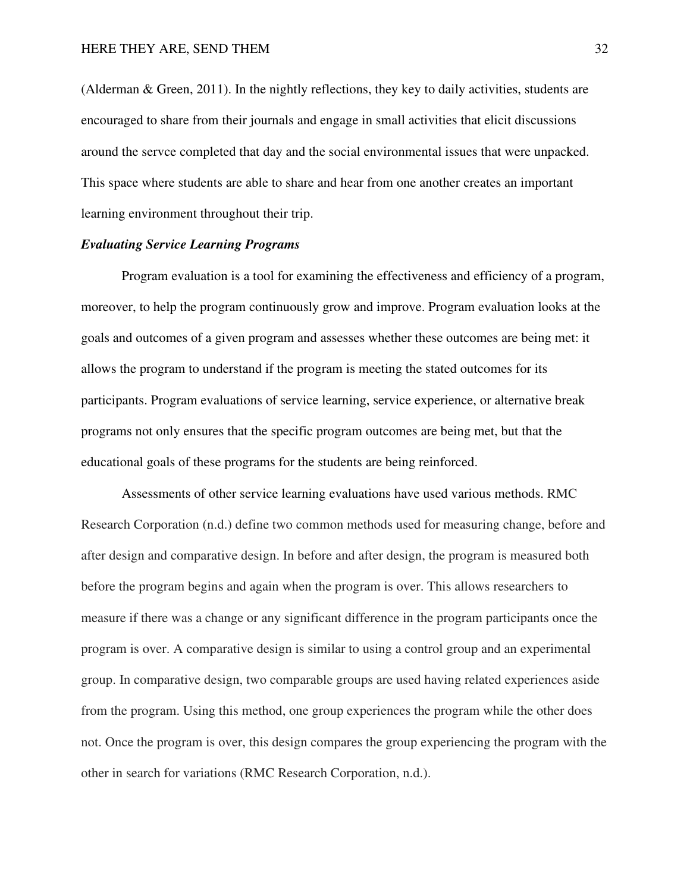(Alderman & Green, 2011). In the nightly reflections, they key to daily activities, students are encouraged to share from their journals and engage in small activities that elicit discussions around the servce completed that day and the social environmental issues that were unpacked. This space where students are able to share and hear from one another creates an important learning environment throughout their trip.

#### *Evaluating Service Learning Programs*

Program evaluation is a tool for examining the effectiveness and efficiency of a program, moreover, to help the program continuously grow and improve. Program evaluation looks at the goals and outcomes of a given program and assesses whether these outcomes are being met: it allows the program to understand if the program is meeting the stated outcomes for its participants. Program evaluations of service learning, service experience, or alternative break programs not only ensures that the specific program outcomes are being met, but that the educational goals of these programs for the students are being reinforced.

Assessments of other service learning evaluations have used various methods. RMC Research Corporation (n.d.) define two common methods used for measuring change, before and after design and comparative design. In before and after design, the program is measured both before the program begins and again when the program is over. This allows researchers to measure if there was a change or any significant difference in the program participants once the program is over. A comparative design is similar to using a control group and an experimental group. In comparative design, two comparable groups are used having related experiences aside from the program. Using this method, one group experiences the program while the other does not. Once the program is over, this design compares the group experiencing the program with the other in search for variations (RMC Research Corporation, n.d.).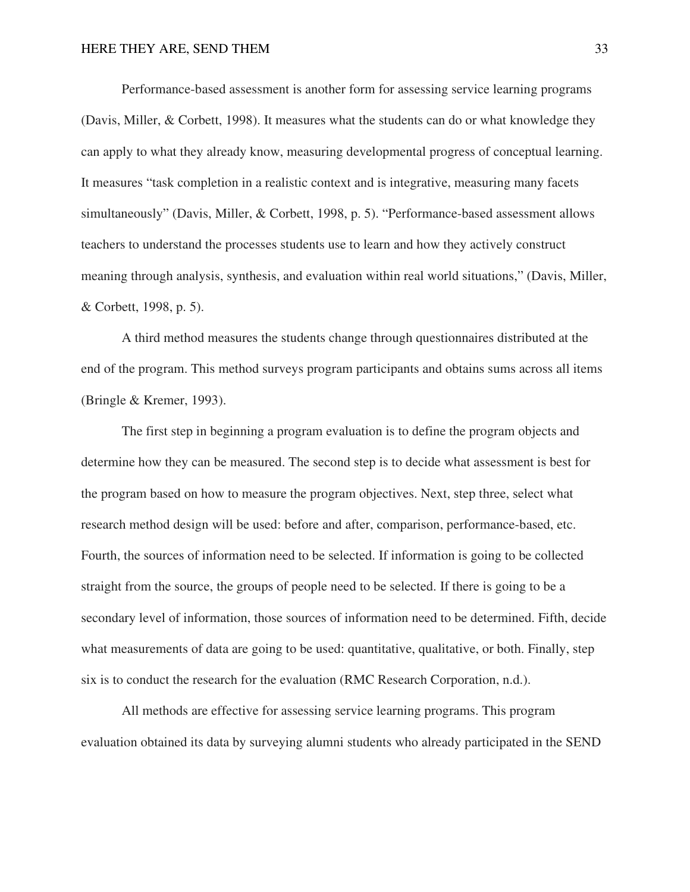Performance-based assessment is another form for assessing service learning programs (Davis, Miller, & Corbett, 1998). It measures what the students can do or what knowledge they can apply to what they already know, measuring developmental progress of conceptual learning. It measures "task completion in a realistic context and is integrative, measuring many facets simultaneously" (Davis, Miller, & Corbett, 1998, p. 5). "Performance-based assessment allows teachers to understand the processes students use to learn and how they actively construct meaning through analysis, synthesis, and evaluation within real world situations," (Davis, Miller, & Corbett, 1998, p. 5).

 A third method measures the students change through questionnaires distributed at the end of the program. This method surveys program participants and obtains sums across all items (Bringle & Kremer, 1993).

 The first step in beginning a program evaluation is to define the program objects and determine how they can be measured. The second step is to decide what assessment is best for the program based on how to measure the program objectives. Next, step three, select what research method design will be used: before and after, comparison, performance-based, etc. Fourth, the sources of information need to be selected. If information is going to be collected straight from the source, the groups of people need to be selected. If there is going to be a secondary level of information, those sources of information need to be determined. Fifth, decide what measurements of data are going to be used: quantitative, qualitative, or both. Finally, step six is to conduct the research for the evaluation (RMC Research Corporation, n.d.).

 All methods are effective for assessing service learning programs. This program evaluation obtained its data by surveying alumni students who already participated in the SEND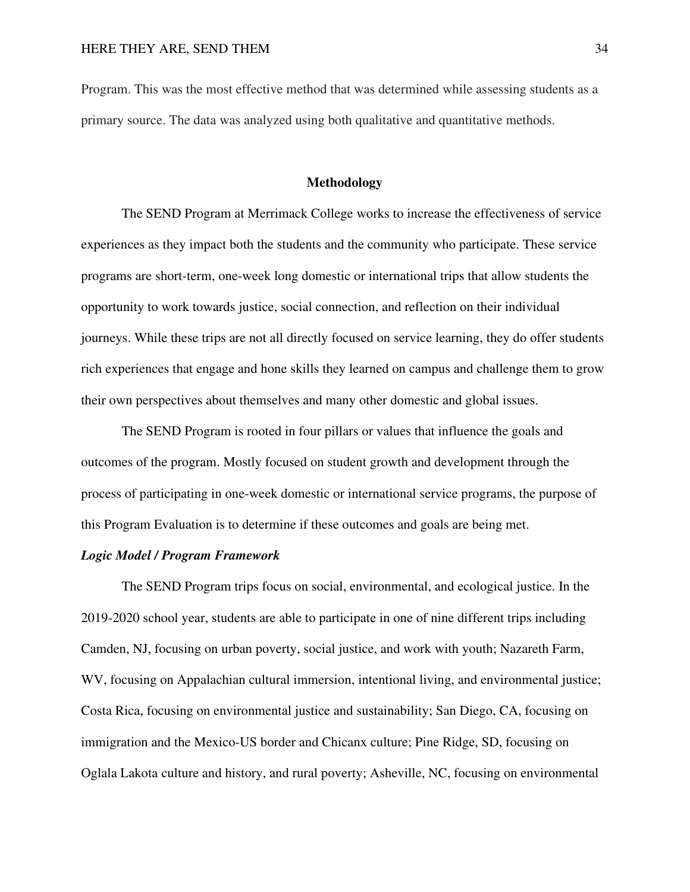Program. This was the most effective method that was determined while assessing students as a primary source. The data was analyzed using both qualitative and quantitative methods.

#### **Methodology**

The SEND Program at Merrimack College works to increase the effectiveness of service experiences as they impact both the students and the community who participate. These service programs are short-term, one-week long domestic or international trips that allow students the opportunity to work towards justice, social connection, and reflection on their individual journeys. While these trips are not all directly focused on service learning, they do offer students rich experiences that engage and hone skills they learned on campus and challenge them to grow their own perspectives about themselves and many other domestic and global issues.

The SEND Program is rooted in four pillars or values that influence the goals and outcomes of the program. Mostly focused on student growth and development through the process of participating in one-week domestic or international service programs, the purpose of this Program Evaluation is to determine if these outcomes and goals are being met.

#### *Logic Model / Program Framework*

The SEND Program trips focus on social, environmental, and ecological justice. In the 2019-2020 school year, students are able to participate in one of nine different trips including Camden, NJ, focusing on urban poverty, social justice, and work with youth; Nazareth Farm, WV, focusing on Appalachian cultural immersion, intentional living, and environmental justice; Costa Rica, focusing on environmental justice and sustainability; San Diego, CA, focusing on immigration and the Mexico-US border and Chicanx culture; Pine Ridge, SD, focusing on Oglala Lakota culture and history, and rural poverty; Asheville, NC, focusing on environmental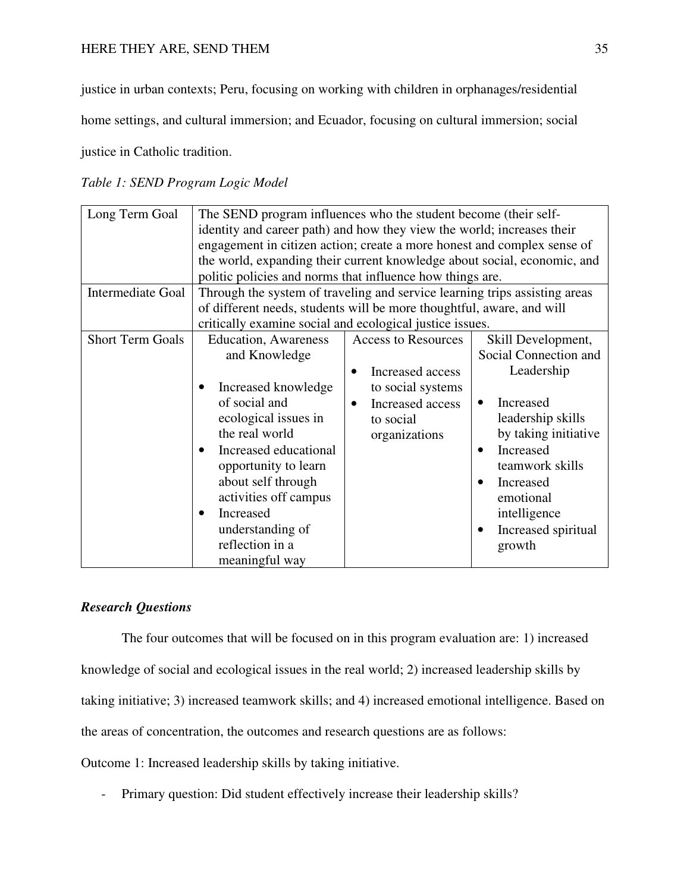justice in urban contexts; Peru, focusing on working with children in orphanages/residential

home settings, and cultural immersion; and Ecuador, focusing on cultural immersion; social

justice in Catholic tradition.

## *Table 1: SEND Program Logic Model*

| Long Term Goal<br>Intermediate Goal | The SEND program influences who the student become (their self-<br>identity and career path) and how they view the world; increases their<br>engagement in citizen action; create a more honest and complex sense of<br>the world, expanding their current knowledge about social, economic, and<br>politic policies and norms that influence how things are.<br>Through the system of traveling and service learning trips assisting areas |                                                                                                                                                 |                                                                                                                                                                                                                                                                       |  |  |  |  |  |
|-------------------------------------|---------------------------------------------------------------------------------------------------------------------------------------------------------------------------------------------------------------------------------------------------------------------------------------------------------------------------------------------------------------------------------------------------------------------------------------------|-------------------------------------------------------------------------------------------------------------------------------------------------|-----------------------------------------------------------------------------------------------------------------------------------------------------------------------------------------------------------------------------------------------------------------------|--|--|--|--|--|
|                                     | of different needs, students will be more thoughtful, aware, and will                                                                                                                                                                                                                                                                                                                                                                       |                                                                                                                                                 |                                                                                                                                                                                                                                                                       |  |  |  |  |  |
|                                     | critically examine social and ecological justice issues.                                                                                                                                                                                                                                                                                                                                                                                    |                                                                                                                                                 |                                                                                                                                                                                                                                                                       |  |  |  |  |  |
| <b>Short Term Goals</b>             | <b>Education</b> , Awareness<br>and Knowledge<br>Increased knowledge<br>of social and<br>ecological issues in<br>the real world<br>Increased educational<br>opportunity to learn<br>about self through<br>activities off campus<br>Increased<br>understanding of<br>reflection in a<br>meaningful way                                                                                                                                       | <b>Access to Resources</b><br>Increased access<br>$\bullet$<br>to social systems<br>Increased access<br>$\bullet$<br>to social<br>organizations | Skill Development,<br>Social Connection and<br>Leadership<br>Increased<br>$\bullet$<br>leadership skills<br>by taking initiative<br>Increased<br>$\bullet$<br>teamwork skills<br>Increased<br>emotional<br>intelligence<br>Increased spiritual<br>$\bullet$<br>growth |  |  |  |  |  |

## *Research Questions*

The four outcomes that will be focused on in this program evaluation are: 1) increased knowledge of social and ecological issues in the real world; 2) increased leadership skills by taking initiative; 3) increased teamwork skills; and 4) increased emotional intelligence. Based on the areas of concentration, the outcomes and research questions are as follows:

Outcome 1: Increased leadership skills by taking initiative.

- Primary question: Did student effectively increase their leadership skills?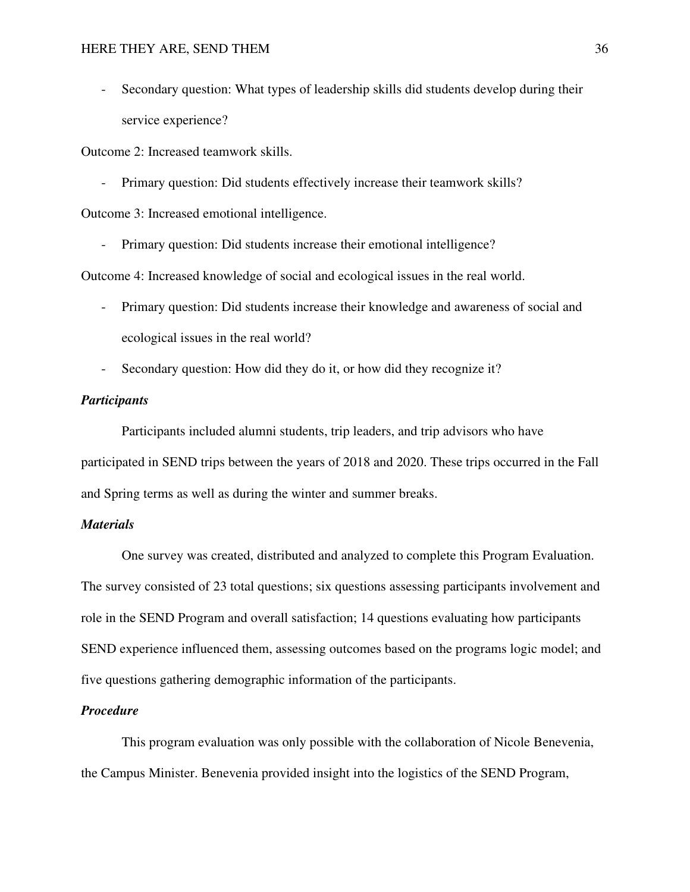- Secondary question: What types of leadership skills did students develop during their service experience?

Outcome 2: Increased teamwork skills.

- Primary question: Did students effectively increase their teamwork skills?

Outcome 3: Increased emotional intelligence.

- Primary question: Did students increase their emotional intelligence?

Outcome 4: Increased knowledge of social and ecological issues in the real world.

- Primary question: Did students increase their knowledge and awareness of social and ecological issues in the real world?
- Secondary question: How did they do it, or how did they recognize it?

#### *Participants*

 Participants included alumni students, trip leaders, and trip advisors who have participated in SEND trips between the years of 2018 and 2020. These trips occurred in the Fall and Spring terms as well as during the winter and summer breaks.

#### *Materials*

 One survey was created, distributed and analyzed to complete this Program Evaluation. The survey consisted of 23 total questions; six questions assessing participants involvement and role in the SEND Program and overall satisfaction; 14 questions evaluating how participants SEND experience influenced them, assessing outcomes based on the programs logic model; and five questions gathering demographic information of the participants.

#### *Procedure*

 This program evaluation was only possible with the collaboration of Nicole Benevenia, the Campus Minister. Benevenia provided insight into the logistics of the SEND Program,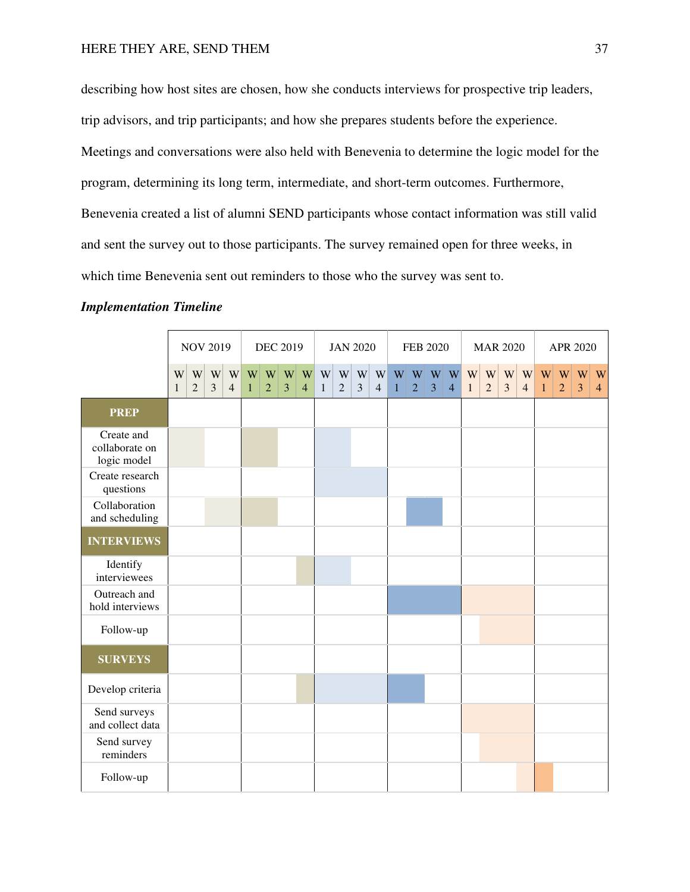describing how host sites are chosen, how she conducts interviews for prospective trip leaders, trip advisors, and trip participants; and how she prepares students before the experience. Meetings and conversations were also held with Benevenia to determine the logic model for the program, determining its long term, intermediate, and short-term outcomes. Furthermore, Benevenia created a list of alumni SEND participants whose contact information was still valid and sent the survey out to those participants. The survey remained open for three weeks, in which time Benevenia sent out reminders to those who the survey was sent to.

| <b>Implementation Timeline</b> |  |
|--------------------------------|--|
|--------------------------------|--|

|                                             |                   |                     |                     | <b>NOV 2019</b><br><b>DEC 2019</b> |                   |                                | <b>JAN 2020</b>                |                                  |                   | <b>FEB 2020</b>     |                     |                     | <b>MAR 2020</b>   |                |                               |                | APR 2020          |                                |                     |                                           |                   |                     |                     |                               |
|---------------------------------------------|-------------------|---------------------|---------------------|------------------------------------|-------------------|--------------------------------|--------------------------------|----------------------------------|-------------------|---------------------|---------------------|---------------------|-------------------|----------------|-------------------------------|----------------|-------------------|--------------------------------|---------------------|-------------------------------------------|-------------------|---------------------|---------------------|-------------------------------|
|                                             | W<br>$\mathbf{1}$ | W<br>$\overline{2}$ | W<br>$\overline{3}$ | W<br>$\overline{4}$                | W<br>$\mathbf{1}$ | $\mathbf{W}$<br>$\overline{2}$ | $\mathbf{W}$<br>$\overline{3}$ | $ \mathbf{W} $<br>$\overline{4}$ | W<br>$\mathbf{1}$ | W<br>$\overline{2}$ | W<br>$\overline{3}$ | W<br>$\overline{4}$ | W<br>$\mathbf{1}$ | $\overline{2}$ | $W$ $W$ $W$<br>$\overline{3}$ | $\overline{4}$ | W<br>$\mathbf{1}$ | $\mathbf{W}$<br>$\overline{2}$ | W<br>$\overline{3}$ | $\ensuremath{\text{W}}$<br>$\overline{4}$ | W<br>$\mathbf{1}$ | W<br>$\overline{2}$ | W<br>$\overline{3}$ | $\mathbf W$<br>$\overline{4}$ |
| <b>PREP</b>                                 |                   |                     |                     |                                    |                   |                                |                                |                                  |                   |                     |                     |                     |                   |                |                               |                |                   |                                |                     |                                           |                   |                     |                     |                               |
| Create and<br>collaborate on<br>logic model |                   |                     |                     |                                    |                   |                                |                                |                                  |                   |                     |                     |                     |                   |                |                               |                |                   |                                |                     |                                           |                   |                     |                     |                               |
| Create research<br>questions                |                   |                     |                     |                                    |                   |                                |                                |                                  |                   |                     |                     |                     |                   |                |                               |                |                   |                                |                     |                                           |                   |                     |                     |                               |
| Collaboration<br>and scheduling             |                   |                     |                     |                                    |                   |                                |                                |                                  |                   |                     |                     |                     |                   |                |                               |                |                   |                                |                     |                                           |                   |                     |                     |                               |
| <b>INTERVIEWS</b>                           |                   |                     |                     |                                    |                   |                                |                                |                                  |                   |                     |                     |                     |                   |                |                               |                |                   |                                |                     |                                           |                   |                     |                     |                               |
| Identify<br>interviewees                    |                   |                     |                     |                                    |                   |                                |                                |                                  |                   |                     |                     |                     |                   |                |                               |                |                   |                                |                     |                                           |                   |                     |                     |                               |
| Outreach and<br>hold interviews             |                   |                     |                     |                                    |                   |                                |                                |                                  |                   |                     |                     |                     |                   |                |                               |                |                   |                                |                     |                                           |                   |                     |                     |                               |
| Follow-up                                   |                   |                     |                     |                                    |                   |                                |                                |                                  |                   |                     |                     |                     |                   |                |                               |                |                   |                                |                     |                                           |                   |                     |                     |                               |
| <b>SURVEYS</b>                              |                   |                     |                     |                                    |                   |                                |                                |                                  |                   |                     |                     |                     |                   |                |                               |                |                   |                                |                     |                                           |                   |                     |                     |                               |
| Develop criteria                            |                   |                     |                     |                                    |                   |                                |                                |                                  |                   |                     |                     |                     |                   |                |                               |                |                   |                                |                     |                                           |                   |                     |                     |                               |
| Send surveys<br>and collect data            |                   |                     |                     |                                    |                   |                                |                                |                                  |                   |                     |                     |                     |                   |                |                               |                |                   |                                |                     |                                           |                   |                     |                     |                               |
| Send survey<br>reminders                    |                   |                     |                     |                                    |                   |                                |                                |                                  |                   |                     |                     |                     |                   |                |                               |                |                   |                                |                     |                                           |                   |                     |                     |                               |
| Follow-up                                   |                   |                     |                     |                                    |                   |                                |                                |                                  |                   |                     |                     |                     |                   |                |                               |                |                   |                                |                     |                                           |                   |                     |                     |                               |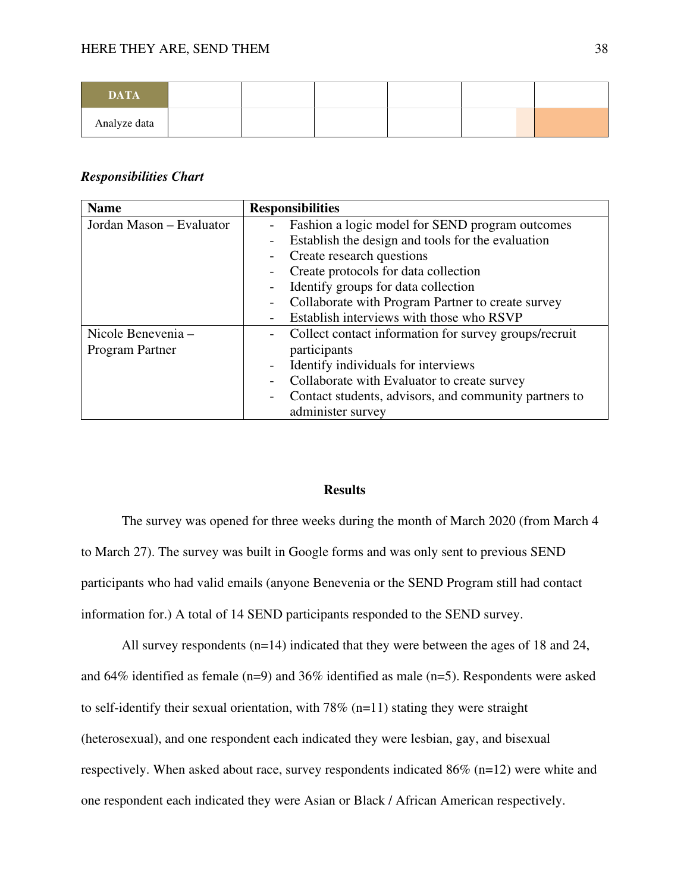| <b>DATA</b>  |  |  |  |
|--------------|--|--|--|
| Analyze data |  |  |  |

#### *Responsibilities Chart*

| <b>Name</b>              | <b>Responsibilities</b>                               |
|--------------------------|-------------------------------------------------------|
| Jordan Mason - Evaluator | Fashion a logic model for SEND program outcomes       |
|                          | Establish the design and tools for the evaluation     |
|                          | Create research questions                             |
|                          | Create protocols for data collection                  |
|                          | Identify groups for data collection                   |
|                          | Collaborate with Program Partner to create survey     |
|                          | Establish interviews with those who RSVP              |
| Nicole Benevenia -       | Collect contact information for survey groups/recruit |
| Program Partner          | participants                                          |
|                          | Identify individuals for interviews                   |
|                          | Collaborate with Evaluator to create survey           |
|                          | Contact students, advisors, and community partners to |
|                          | administer survey                                     |

#### **Results**

The survey was opened for three weeks during the month of March 2020 (from March 4 to March 27). The survey was built in Google forms and was only sent to previous SEND participants who had valid emails (anyone Benevenia or the SEND Program still had contact information for.) A total of 14 SEND participants responded to the SEND survey.

 All survey respondents (n=14) indicated that they were between the ages of 18 and 24, and 64% identified as female (n=9) and 36% identified as male (n=5). Respondents were asked to self-identify their sexual orientation, with  $78\%$  (n=11) stating they were straight (heterosexual), and one respondent each indicated they were lesbian, gay, and bisexual respectively. When asked about race, survey respondents indicated 86% (n=12) were white and one respondent each indicated they were Asian or Black / African American respectively.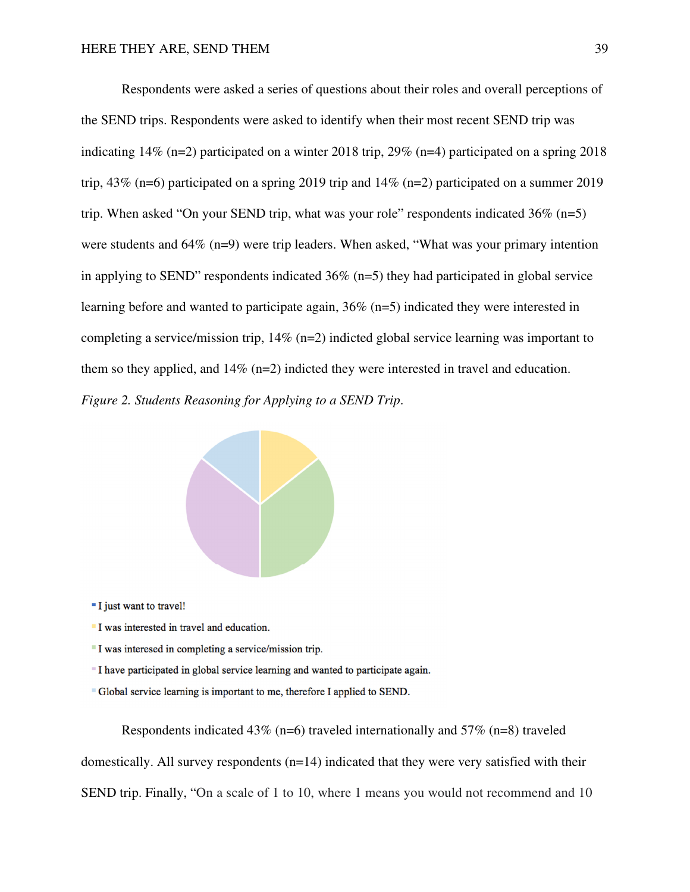Respondents were asked a series of questions about their roles and overall perceptions of the SEND trips. Respondents were asked to identify when their most recent SEND trip was indicating 14% (n=2) participated on a winter 2018 trip, 29% (n=4) participated on a spring 2018 trip, 43% (n=6) participated on a spring 2019 trip and 14% (n=2) participated on a summer 2019 trip. When asked "On your SEND trip, what was your role" respondents indicated  $36\%$  (n=5) were students and 64% (n=9) were trip leaders. When asked, "What was your primary intention in applying to SEND" respondents indicated 36% (n=5) they had participated in global service learning before and wanted to participate again, 36% (n=5) indicated they were interested in completing a service/mission trip, 14% (n=2) indicted global service learning was important to them so they applied, and  $14\%$  (n=2) indicted they were interested in travel and education. *Figure 2. Students Reasoning for Applying to a SEND Trip*.



- "I just want to travel!
- I was interested in travel and education.
- I was interesed in completing a service/mission trip.
- " I have participated in global service learning and wanted to participate again.
- "Global service learning is important to me, therefore I applied to SEND.

Respondents indicated 43% (n=6) traveled internationally and 57% (n=8) traveled domestically. All survey respondents (n=14) indicated that they were very satisfied with their SEND trip. Finally, "On a scale of 1 to 10, where 1 means you would not recommend and 10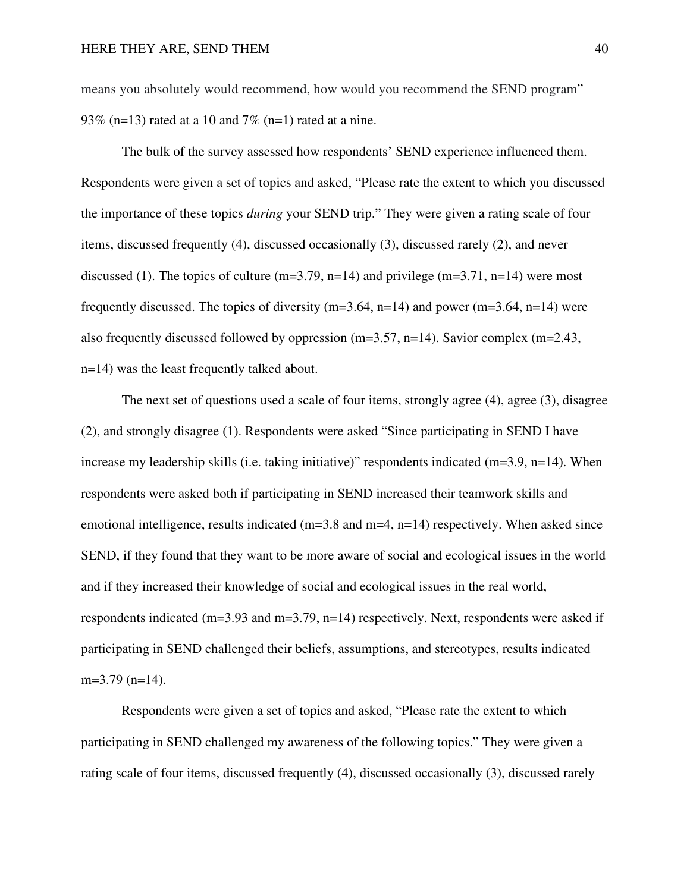means you absolutely would recommend, how would you recommend the SEND program" 93% (n=13) rated at a 10 and 7% (n=1) rated at a nine.

 The bulk of the survey assessed how respondents' SEND experience influenced them. Respondents were given a set of topics and asked, "Please rate the extent to which you discussed the importance of these topics *during* your SEND trip." They were given a rating scale of four items, discussed frequently (4), discussed occasionally (3), discussed rarely (2), and never discussed (1). The topics of culture (m=3.79, n=14) and privilege (m=3.71, n=14) were most frequently discussed. The topics of diversity  $(m=3.64, n=14)$  and power  $(m=3.64, n=14)$  were also frequently discussed followed by oppression (m=3.57, n=14). Savior complex (m=2.43, n=14) was the least frequently talked about.

 The next set of questions used a scale of four items, strongly agree (4), agree (3), disagree (2), and strongly disagree (1). Respondents were asked "Since participating in SEND I have increase my leadership skills (i.e. taking initiative)" respondents indicated (m=3.9, n=14). When respondents were asked both if participating in SEND increased their teamwork skills and emotional intelligence, results indicated (m=3.8 and m=4, n=14) respectively. When asked since SEND, if they found that they want to be more aware of social and ecological issues in the world and if they increased their knowledge of social and ecological issues in the real world, respondents indicated (m=3.93 and m=3.79, n=14) respectively. Next, respondents were asked if participating in SEND challenged their beliefs, assumptions, and stereotypes, results indicated  $m=3.79$  ( $n=14$ ).

Respondents were given a set of topics and asked, "Please rate the extent to which participating in SEND challenged my awareness of the following topics." They were given a rating scale of four items, discussed frequently (4), discussed occasionally (3), discussed rarely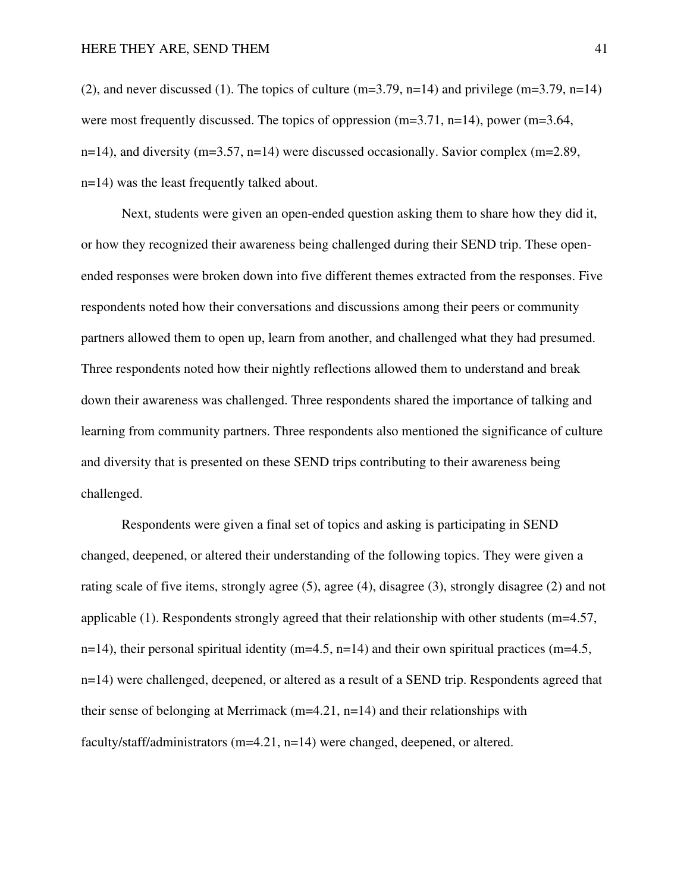(2), and never discussed (1). The topics of culture (m=3.79, n=14) and privilege (m=3.79, n=14) were most frequently discussed. The topics of oppression (m=3.71, n=14), power (m=3.64, n=14), and diversity (m=3.57, n=14) were discussed occasionally. Savior complex (m=2.89, n=14) was the least frequently talked about.

Next, students were given an open-ended question asking them to share how they did it, or how they recognized their awareness being challenged during their SEND trip. These openended responses were broken down into five different themes extracted from the responses. Five respondents noted how their conversations and discussions among their peers or community partners allowed them to open up, learn from another, and challenged what they had presumed. Three respondents noted how their nightly reflections allowed them to understand and break down their awareness was challenged. Three respondents shared the importance of talking and learning from community partners. Three respondents also mentioned the significance of culture and diversity that is presented on these SEND trips contributing to their awareness being challenged.

Respondents were given a final set of topics and asking is participating in SEND changed, deepened, or altered their understanding of the following topics. They were given a rating scale of five items, strongly agree (5), agree (4), disagree (3), strongly disagree (2) and not applicable (1). Respondents strongly agreed that their relationship with other students (m=4.57, n=14), their personal spiritual identity (m=4.5, n=14) and their own spiritual practices (m=4.5, n=14) were challenged, deepened, or altered as a result of a SEND trip. Respondents agreed that their sense of belonging at Merrimack ( $m=4.21$ ,  $n=14$ ) and their relationships with faculty/staff/administrators (m=4.21, n=14) were changed, deepened, or altered.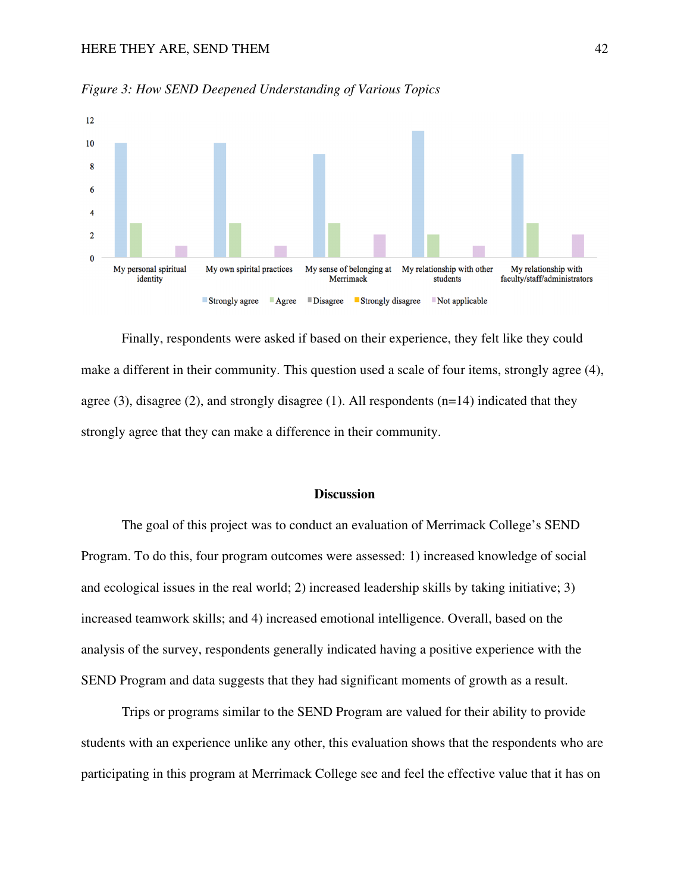

*Figure 3: How SEND Deepened Understanding of Various Topics* 

Finally, respondents were asked if based on their experience, they felt like they could make a different in their community. This question used a scale of four items, strongly agree (4), agree  $(3)$ , disagree  $(2)$ , and strongly disagree  $(1)$ . All respondents  $(n=14)$  indicated that they strongly agree that they can make a difference in their community.

#### **Discussion**

The goal of this project was to conduct an evaluation of Merrimack College's SEND Program. To do this, four program outcomes were assessed: 1) increased knowledge of social and ecological issues in the real world; 2) increased leadership skills by taking initiative; 3) increased teamwork skills; and 4) increased emotional intelligence. Overall, based on the analysis of the survey, respondents generally indicated having a positive experience with the SEND Program and data suggests that they had significant moments of growth as a result.

Trips or programs similar to the SEND Program are valued for their ability to provide students with an experience unlike any other, this evaluation shows that the respondents who are participating in this program at Merrimack College see and feel the effective value that it has on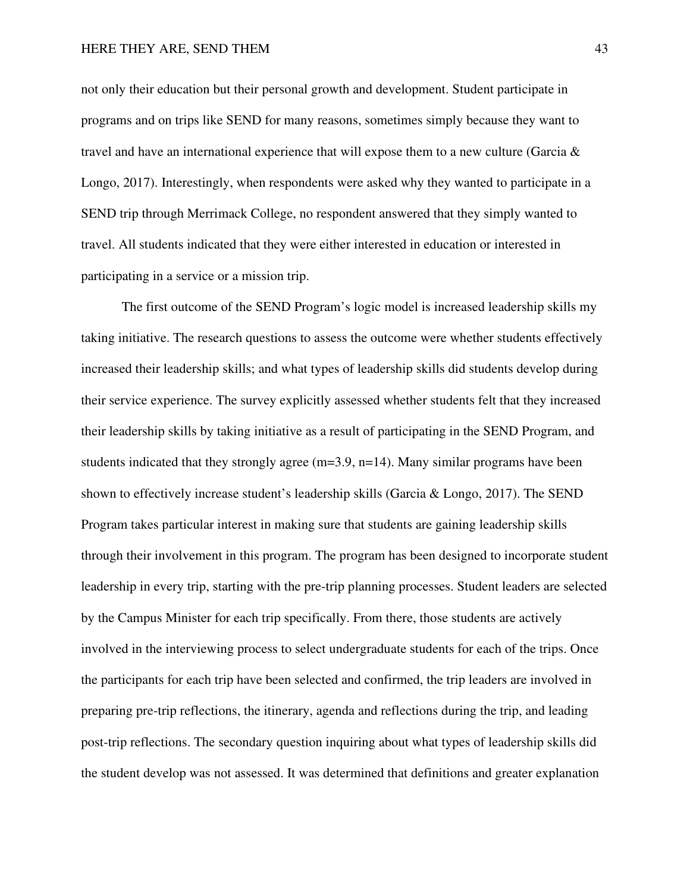not only their education but their personal growth and development. Student participate in programs and on trips like SEND for many reasons, sometimes simply because they want to travel and have an international experience that will expose them to a new culture (Garcia & Longo, 2017). Interestingly, when respondents were asked why they wanted to participate in a SEND trip through Merrimack College, no respondent answered that they simply wanted to travel. All students indicated that they were either interested in education or interested in participating in a service or a mission trip.

The first outcome of the SEND Program's logic model is increased leadership skills my taking initiative. The research questions to assess the outcome were whether students effectively increased their leadership skills; and what types of leadership skills did students develop during their service experience. The survey explicitly assessed whether students felt that they increased their leadership skills by taking initiative as a result of participating in the SEND Program, and students indicated that they strongly agree (m=3.9, n=14). Many similar programs have been shown to effectively increase student's leadership skills (Garcia & Longo, 2017). The SEND Program takes particular interest in making sure that students are gaining leadership skills through their involvement in this program. The program has been designed to incorporate student leadership in every trip, starting with the pre-trip planning processes. Student leaders are selected by the Campus Minister for each trip specifically. From there, those students are actively involved in the interviewing process to select undergraduate students for each of the trips. Once the participants for each trip have been selected and confirmed, the trip leaders are involved in preparing pre-trip reflections, the itinerary, agenda and reflections during the trip, and leading post-trip reflections. The secondary question inquiring about what types of leadership skills did the student develop was not assessed. It was determined that definitions and greater explanation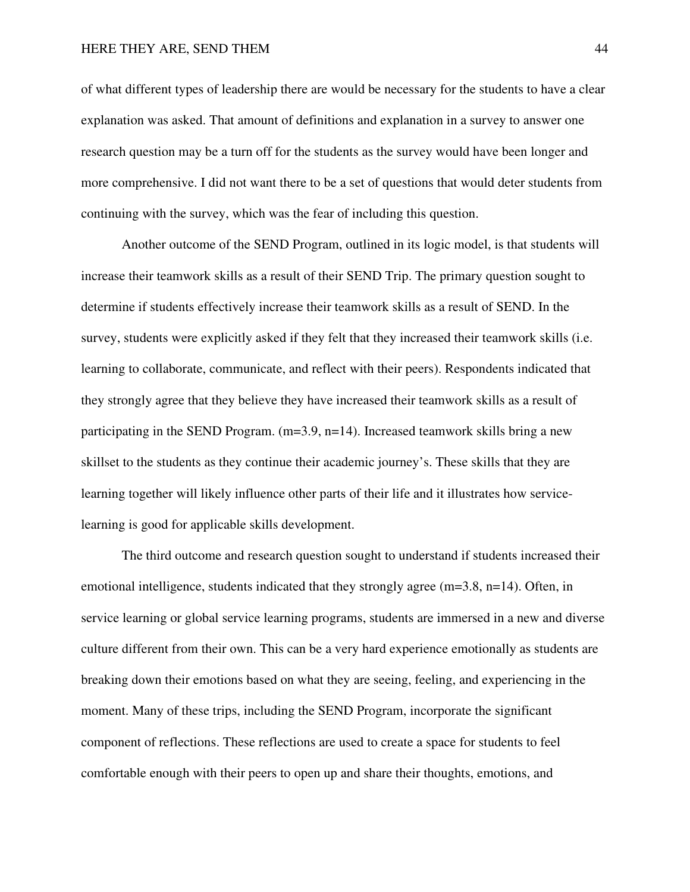of what different types of leadership there are would be necessary for the students to have a clear explanation was asked. That amount of definitions and explanation in a survey to answer one research question may be a turn off for the students as the survey would have been longer and more comprehensive. I did not want there to be a set of questions that would deter students from continuing with the survey, which was the fear of including this question.

Another outcome of the SEND Program, outlined in its logic model, is that students will increase their teamwork skills as a result of their SEND Trip. The primary question sought to determine if students effectively increase their teamwork skills as a result of SEND. In the survey, students were explicitly asked if they felt that they increased their teamwork skills (i.e. learning to collaborate, communicate, and reflect with their peers). Respondents indicated that they strongly agree that they believe they have increased their teamwork skills as a result of participating in the SEND Program.  $(m=3.9, n=14)$ . Increased teamwork skills bring a new skillset to the students as they continue their academic journey's. These skills that they are learning together will likely influence other parts of their life and it illustrates how servicelearning is good for applicable skills development.

The third outcome and research question sought to understand if students increased their emotional intelligence, students indicated that they strongly agree (m=3.8, n=14). Often, in service learning or global service learning programs, students are immersed in a new and diverse culture different from their own. This can be a very hard experience emotionally as students are breaking down their emotions based on what they are seeing, feeling, and experiencing in the moment. Many of these trips, including the SEND Program, incorporate the significant component of reflections. These reflections are used to create a space for students to feel comfortable enough with their peers to open up and share their thoughts, emotions, and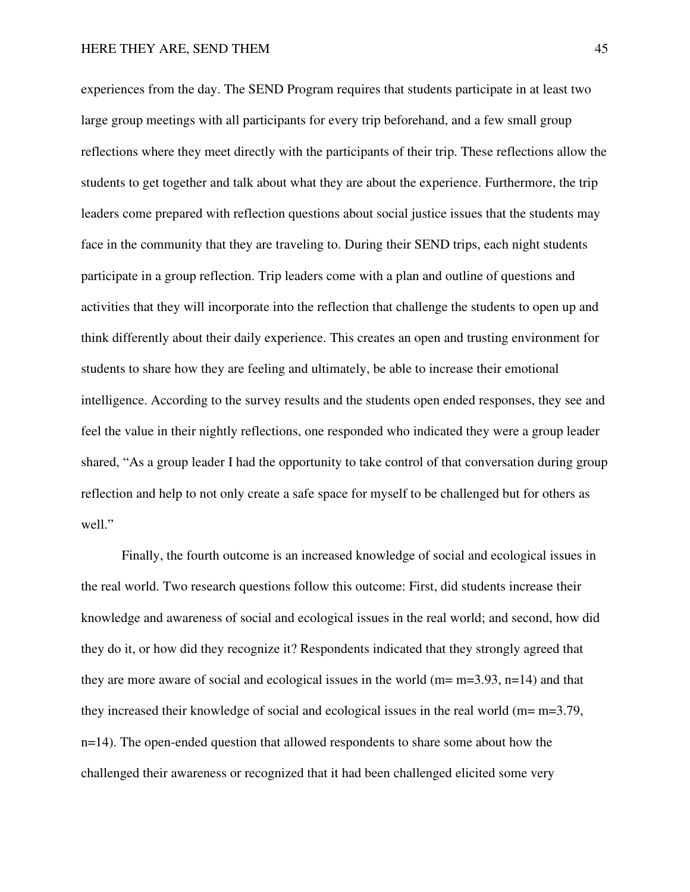experiences from the day. The SEND Program requires that students participate in at least two large group meetings with all participants for every trip beforehand, and a few small group reflections where they meet directly with the participants of their trip. These reflections allow the students to get together and talk about what they are about the experience. Furthermore, the trip leaders come prepared with reflection questions about social justice issues that the students may face in the community that they are traveling to. During their SEND trips, each night students participate in a group reflection. Trip leaders come with a plan and outline of questions and activities that they will incorporate into the reflection that challenge the students to open up and think differently about their daily experience. This creates an open and trusting environment for students to share how they are feeling and ultimately, be able to increase their emotional intelligence. According to the survey results and the students open ended responses, they see and feel the value in their nightly reflections, one responded who indicated they were a group leader shared, "As a group leader I had the opportunity to take control of that conversation during group reflection and help to not only create a safe space for myself to be challenged but for others as well."

Finally, the fourth outcome is an increased knowledge of social and ecological issues in the real world. Two research questions follow this outcome: First, did students increase their knowledge and awareness of social and ecological issues in the real world; and second, how did they do it, or how did they recognize it? Respondents indicated that they strongly agreed that they are more aware of social and ecological issues in the world ( $m= m=3.93$ ,  $n=14$ ) and that they increased their knowledge of social and ecological issues in the real world (m= m=3.79, n=14). The open-ended question that allowed respondents to share some about how the challenged their awareness or recognized that it had been challenged elicited some very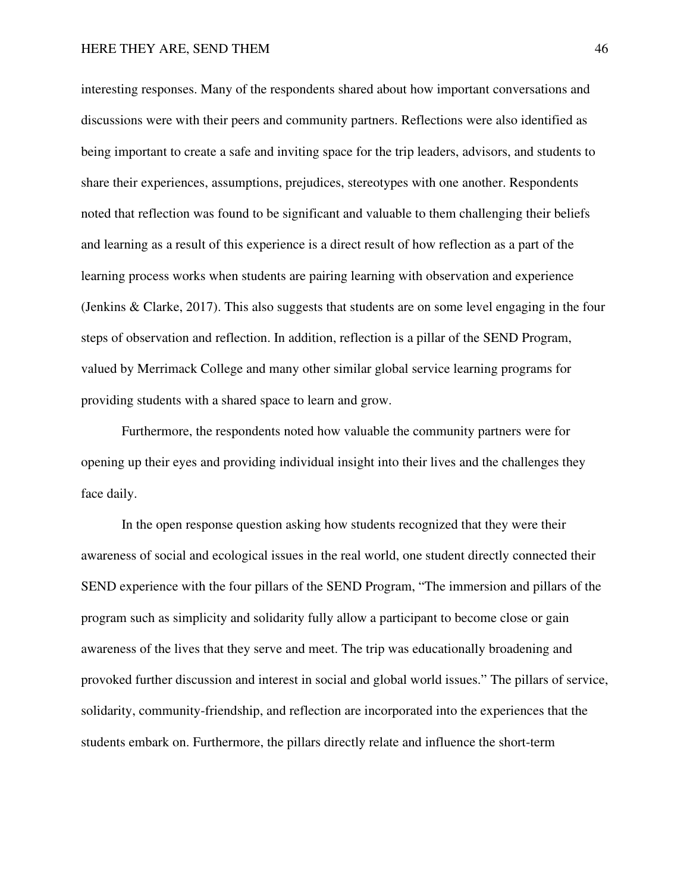interesting responses. Many of the respondents shared about how important conversations and discussions were with their peers and community partners. Reflections were also identified as being important to create a safe and inviting space for the trip leaders, advisors, and students to share their experiences, assumptions, prejudices, stereotypes with one another. Respondents noted that reflection was found to be significant and valuable to them challenging their beliefs and learning as a result of this experience is a direct result of how reflection as a part of the learning process works when students are pairing learning with observation and experience (Jenkins & Clarke, 2017). This also suggests that students are on some level engaging in the four steps of observation and reflection. In addition, reflection is a pillar of the SEND Program, valued by Merrimack College and many other similar global service learning programs for providing students with a shared space to learn and grow.

Furthermore, the respondents noted how valuable the community partners were for opening up their eyes and providing individual insight into their lives and the challenges they face daily.

In the open response question asking how students recognized that they were their awareness of social and ecological issues in the real world, one student directly connected their SEND experience with the four pillars of the SEND Program, "The immersion and pillars of the program such as simplicity and solidarity fully allow a participant to become close or gain awareness of the lives that they serve and meet. The trip was educationally broadening and provoked further discussion and interest in social and global world issues." The pillars of service, solidarity, community-friendship, and reflection are incorporated into the experiences that the students embark on. Furthermore, the pillars directly relate and influence the short-term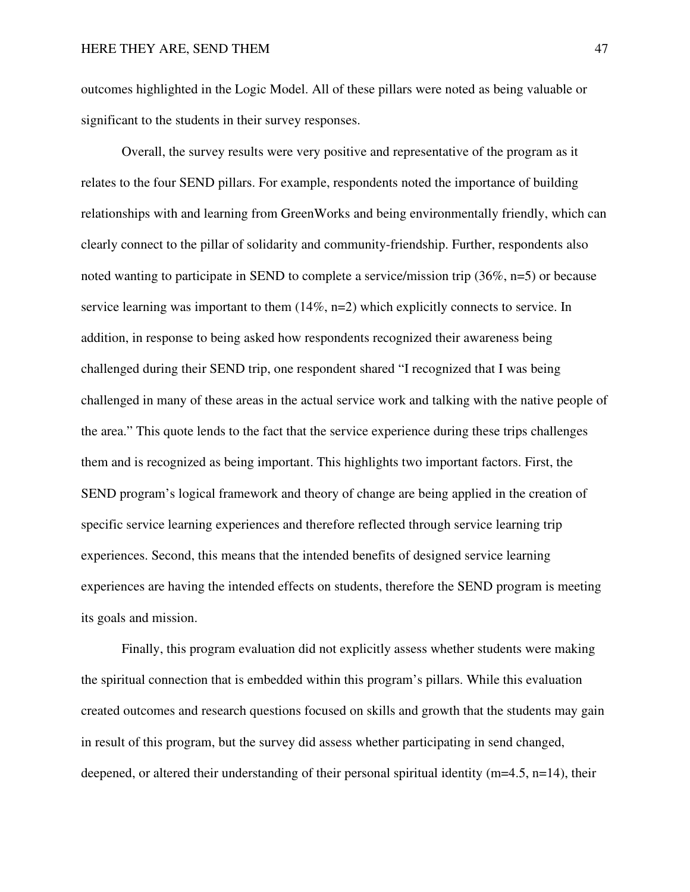outcomes highlighted in the Logic Model. All of these pillars were noted as being valuable or significant to the students in their survey responses.

Overall, the survey results were very positive and representative of the program as it relates to the four SEND pillars. For example, respondents noted the importance of building relationships with and learning from GreenWorks and being environmentally friendly, which can clearly connect to the pillar of solidarity and community-friendship. Further, respondents also noted wanting to participate in SEND to complete a service/mission trip (36%, n=5) or because service learning was important to them  $(14\%, n=2)$  which explicitly connects to service. In addition, in response to being asked how respondents recognized their awareness being challenged during their SEND trip, one respondent shared "I recognized that I was being challenged in many of these areas in the actual service work and talking with the native people of the area." This quote lends to the fact that the service experience during these trips challenges them and is recognized as being important. This highlights two important factors. First, the SEND program's logical framework and theory of change are being applied in the creation of specific service learning experiences and therefore reflected through service learning trip experiences. Second, this means that the intended benefits of designed service learning experiences are having the intended effects on students, therefore the SEND program is meeting its goals and mission.

Finally, this program evaluation did not explicitly assess whether students were making the spiritual connection that is embedded within this program's pillars. While this evaluation created outcomes and research questions focused on skills and growth that the students may gain in result of this program, but the survey did assess whether participating in send changed, deepened, or altered their understanding of their personal spiritual identity (m=4.5, n=14), their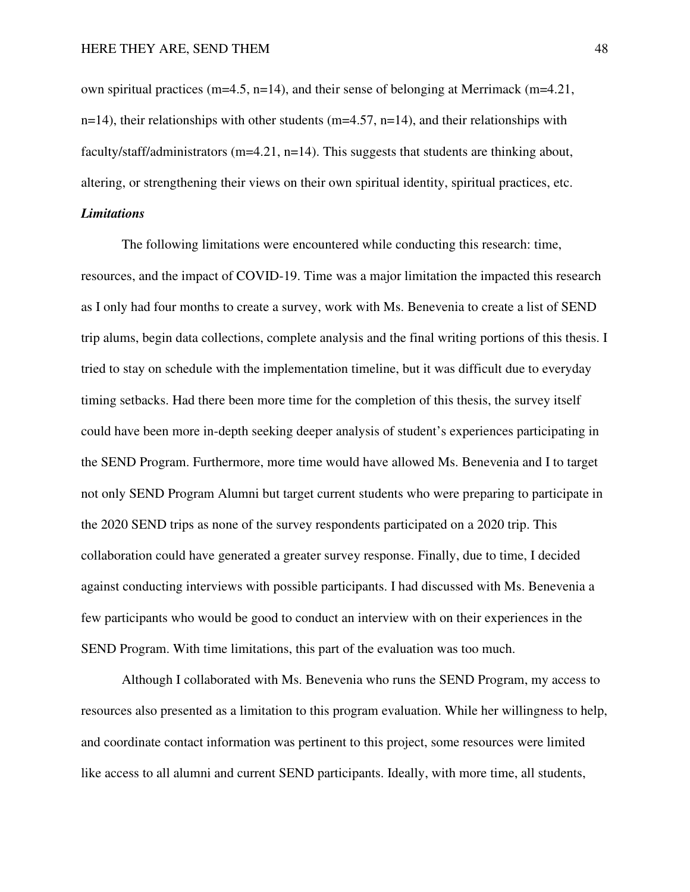own spiritual practices ( $m=4.5$ ,  $n=14$ ), and their sense of belonging at Merrimack ( $m=4.21$ ,  $n=14$ ), their relationships with other students (m=4.57, n=14), and their relationships with faculty/staff/administrators  $(m=4.21, n=14)$ . This suggests that students are thinking about, altering, or strengthening their views on their own spiritual identity, spiritual practices, etc. *Limitations* 

 The following limitations were encountered while conducting this research: time, resources, and the impact of COVID-19. Time was a major limitation the impacted this research as I only had four months to create a survey, work with Ms. Benevenia to create a list of SEND trip alums, begin data collections, complete analysis and the final writing portions of this thesis. I tried to stay on schedule with the implementation timeline, but it was difficult due to everyday timing setbacks. Had there been more time for the completion of this thesis, the survey itself could have been more in-depth seeking deeper analysis of student's experiences participating in the SEND Program. Furthermore, more time would have allowed Ms. Benevenia and I to target not only SEND Program Alumni but target current students who were preparing to participate in the 2020 SEND trips as none of the survey respondents participated on a 2020 trip. This collaboration could have generated a greater survey response. Finally, due to time, I decided against conducting interviews with possible participants. I had discussed with Ms. Benevenia a few participants who would be good to conduct an interview with on their experiences in the SEND Program. With time limitations, this part of the evaluation was too much.

 Although I collaborated with Ms. Benevenia who runs the SEND Program, my access to resources also presented as a limitation to this program evaluation. While her willingness to help, and coordinate contact information was pertinent to this project, some resources were limited like access to all alumni and current SEND participants. Ideally, with more time, all students,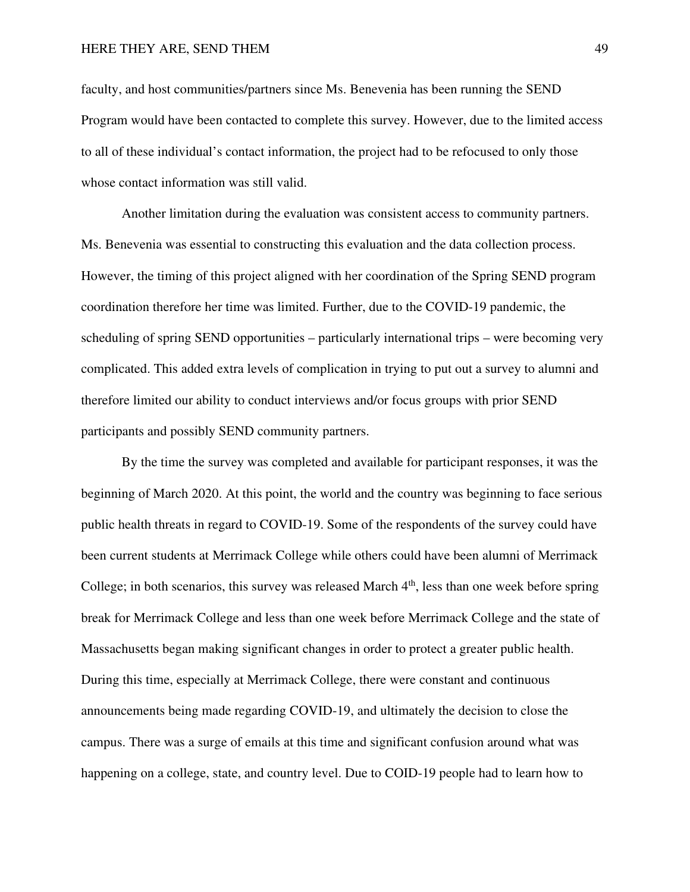faculty, and host communities/partners since Ms. Benevenia has been running the SEND Program would have been contacted to complete this survey. However, due to the limited access to all of these individual's contact information, the project had to be refocused to only those whose contact information was still valid.

 Another limitation during the evaluation was consistent access to community partners. Ms. Benevenia was essential to constructing this evaluation and the data collection process. However, the timing of this project aligned with her coordination of the Spring SEND program coordination therefore her time was limited. Further, due to the COVID-19 pandemic, the scheduling of spring SEND opportunities – particularly international trips – were becoming very complicated. This added extra levels of complication in trying to put out a survey to alumni and therefore limited our ability to conduct interviews and/or focus groups with prior SEND participants and possibly SEND community partners.

By the time the survey was completed and available for participant responses, it was the beginning of March 2020. At this point, the world and the country was beginning to face serious public health threats in regard to COVID-19. Some of the respondents of the survey could have been current students at Merrimack College while others could have been alumni of Merrimack College; in both scenarios, this survey was released March  $4<sup>th</sup>$ , less than one week before spring break for Merrimack College and less than one week before Merrimack College and the state of Massachusetts began making significant changes in order to protect a greater public health. During this time, especially at Merrimack College, there were constant and continuous announcements being made regarding COVID-19, and ultimately the decision to close the campus. There was a surge of emails at this time and significant confusion around what was happening on a college, state, and country level. Due to COID-19 people had to learn how to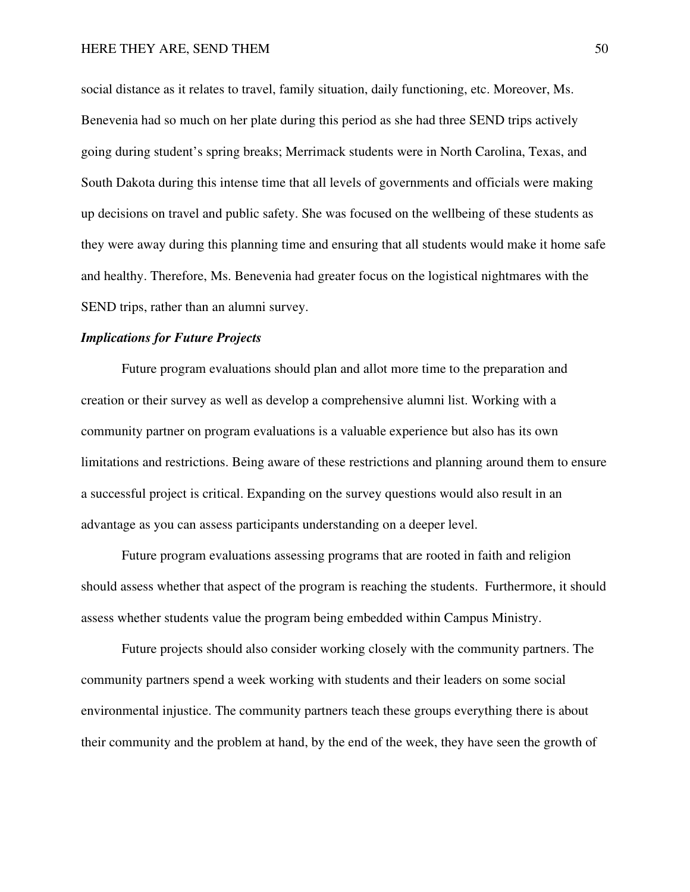social distance as it relates to travel, family situation, daily functioning, etc. Moreover, Ms. Benevenia had so much on her plate during this period as she had three SEND trips actively going during student's spring breaks; Merrimack students were in North Carolina, Texas, and South Dakota during this intense time that all levels of governments and officials were making up decisions on travel and public safety. She was focused on the wellbeing of these students as they were away during this planning time and ensuring that all students would make it home safe and healthy. Therefore, Ms. Benevenia had greater focus on the logistical nightmares with the SEND trips, rather than an alumni survey.

#### *Implications for Future Projects*

 Future program evaluations should plan and allot more time to the preparation and creation or their survey as well as develop a comprehensive alumni list. Working with a community partner on program evaluations is a valuable experience but also has its own limitations and restrictions. Being aware of these restrictions and planning around them to ensure a successful project is critical. Expanding on the survey questions would also result in an advantage as you can assess participants understanding on a deeper level.

 Future program evaluations assessing programs that are rooted in faith and religion should assess whether that aspect of the program is reaching the students. Furthermore, it should assess whether students value the program being embedded within Campus Ministry.

 Future projects should also consider working closely with the community partners. The community partners spend a week working with students and their leaders on some social environmental injustice. The community partners teach these groups everything there is about their community and the problem at hand, by the end of the week, they have seen the growth of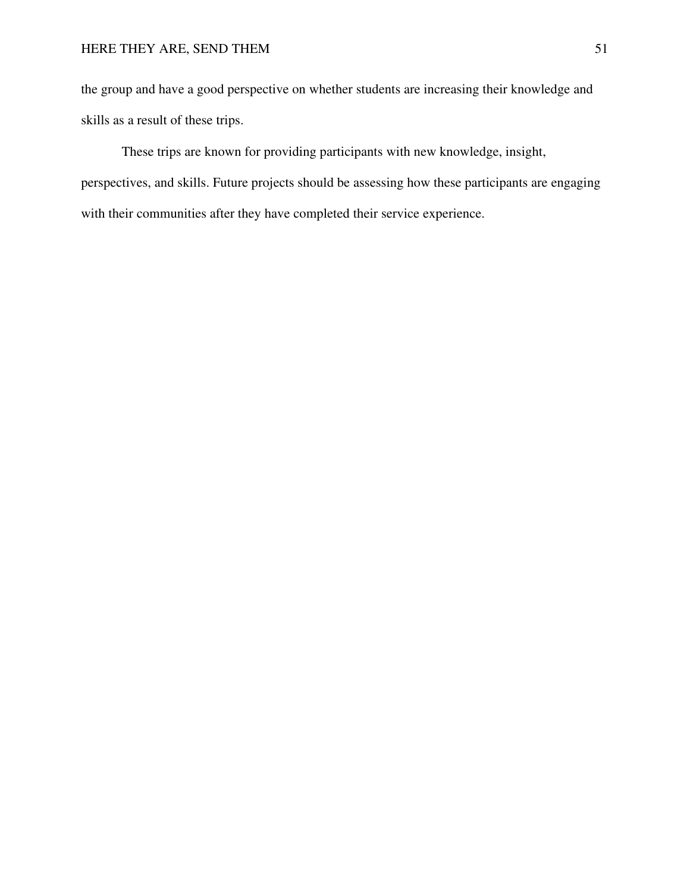the group and have a good perspective on whether students are increasing their knowledge and skills as a result of these trips.

 These trips are known for providing participants with new knowledge, insight, perspectives, and skills. Future projects should be assessing how these participants are engaging with their communities after they have completed their service experience.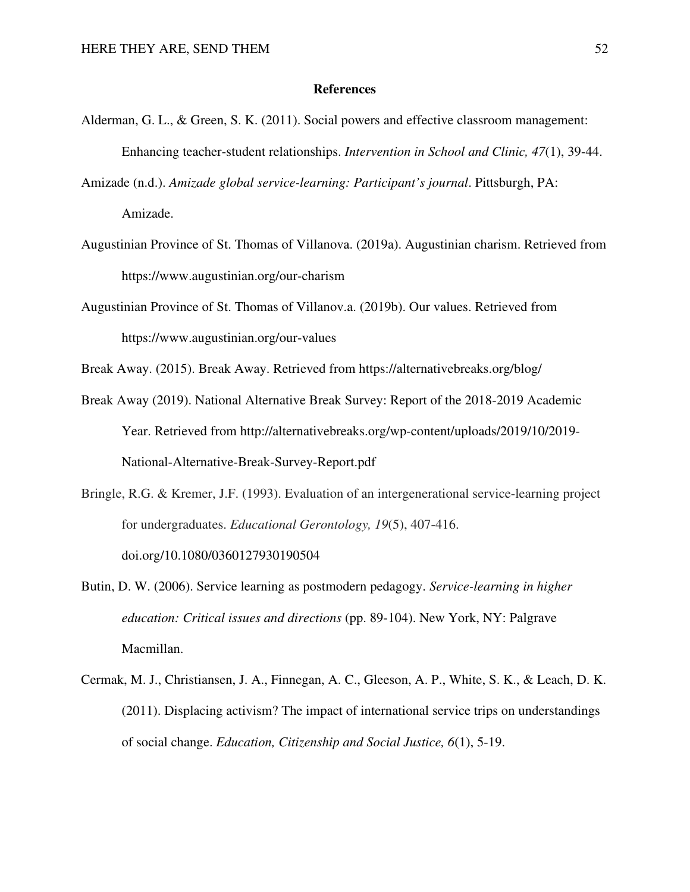#### **References**

- Alderman, G. L., & Green, S. K. (2011). Social powers and effective classroom management: Enhancing teacher-student relationships. *Intervention in School and Clinic, 47*(1), 39-44.
- Amizade (n.d.). *Amizade global service-learning: Participant's journal*. Pittsburgh, PA: Amizade.
- Augustinian Province of St. Thomas of Villanova. (2019a). Augustinian charism. Retrieved from https://www.augustinian.org/our-charism
- Augustinian Province of St. Thomas of Villanov.a. (2019b). Our values. Retrieved from https://www.augustinian.org/our-values
- Break Away. (2015). Break Away. Retrieved from https://alternativebreaks.org/blog/
- Break Away (2019). National Alternative Break Survey: Report of the 2018-2019 Academic Year. Retrieved from http://alternativebreaks.org/wp-content/uploads/2019/10/2019- National-Alternative-Break-Survey-Report.pdf
- Bringle, R.G. & Kremer, J.F. (1993). Evaluation of an intergenerational service-learning project for undergraduates. *Educational Gerontology, 19*(5), 407-416. doi.org/10.1080/0360127930190504
- Butin, D. W. (2006). Service learning as postmodern pedagogy. *Service-learning in higher education: Critical issues and directions* (pp. 89-104). New York, NY: Palgrave Macmillan.
- Cermak, M. J., Christiansen, J. A., Finnegan, A. C., Gleeson, A. P., White, S. K., & Leach, D. K. (2011). Displacing activism? The impact of international service trips on understandings of social change. *Education, Citizenship and Social Justice, 6*(1), 5-19.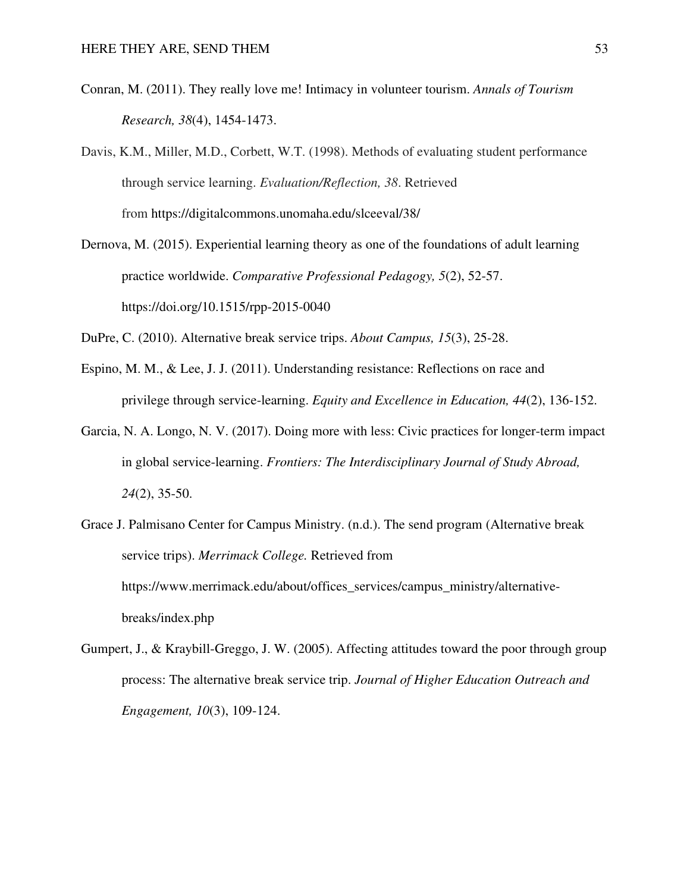- Conran, M. (2011). They really love me! Intimacy in volunteer tourism. *Annals of Tourism Research, 38*(4), 1454-1473.
- Davis, K.M., Miller, M.D., Corbett, W.T. (1998). Methods of evaluating student performance through service learning. *Evaluation/Reflection, 38*. Retrieved from https://digitalcommons.unomaha.edu/slceeval/38/
- Dernova, M. (2015). Experiential learning theory as one of the foundations of adult learning practice worldwide. *Comparative Professional Pedagogy, 5*(2), 52-57. https://doi.org/10.1515/rpp-2015-0040
- DuPre, C. (2010). Alternative break service trips. *About Campus, 15*(3), 25-28.
- Espino, M. M., & Lee, J. J. (2011). Understanding resistance: Reflections on race and privilege through service-learning. *Equity and Excellence in Education, 44*(2), 136-152.
- Garcia, N. A. Longo, N. V. (2017). Doing more with less: Civic practices for longer-term impact in global service-learning. *Frontiers: The Interdisciplinary Journal of Study Abroad, 24*(2), 35-50.
- Grace J. Palmisano Center for Campus Ministry. (n.d.). The send program (Alternative break service trips). *Merrimack College.* Retrieved from https://www.merrimack.edu/about/offices\_services/campus\_ministry/alternativebreaks/index.php
- Gumpert, J., & Kraybill-Greggo, J. W. (2005). Affecting attitudes toward the poor through group process: The alternative break service trip. *Journal of Higher Education Outreach and Engagement, 10*(3), 109-124.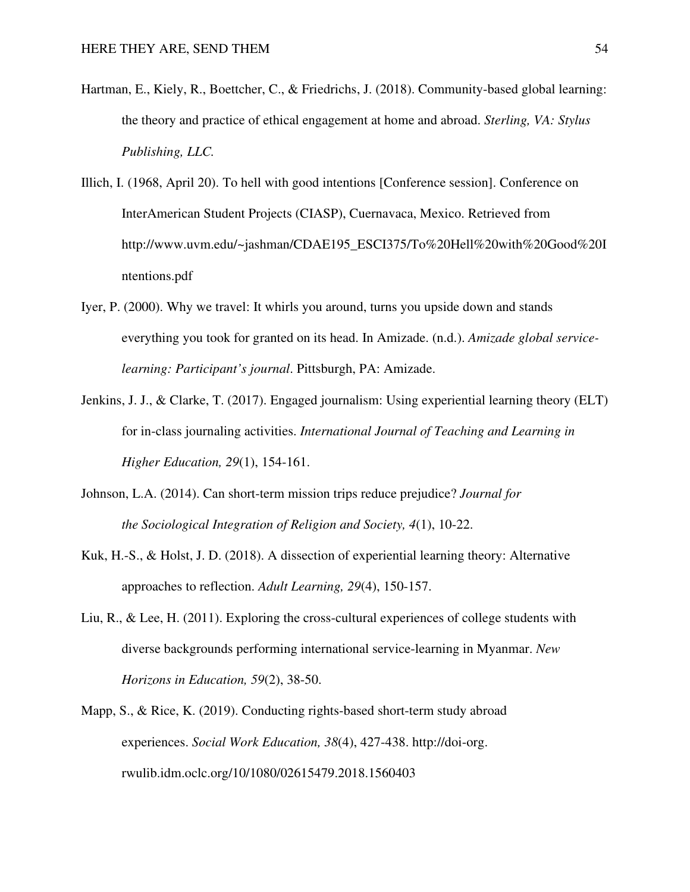- Hartman, E., Kiely, R., Boettcher, C., & Friedrichs, J. (2018). Community-based global learning: the theory and practice of ethical engagement at home and abroad. *Sterling, VA: Stylus Publishing, LLC.*
- Illich, I. (1968, April 20). To hell with good intentions [Conference session]. Conference on InterAmerican Student Projects (CIASP), Cuernavaca, Mexico. Retrieved from http://www.uvm.edu/~jashman/CDAE195\_ESCI375/To%20Hell%20with%20Good%20I ntentions.pdf
- Iyer, P. (2000). Why we travel: It whirls you around, turns you upside down and stands everything you took for granted on its head. In Amizade. (n.d.). *Amizade global servicelearning: Participant's journal*. Pittsburgh, PA: Amizade.
- Jenkins, J. J., & Clarke, T. (2017). Engaged journalism: Using experiential learning theory (ELT) for in-class journaling activities. *International Journal of Teaching and Learning in Higher Education, 29*(1), 154-161.
- Johnson, L.A. (2014). Can short-term mission trips reduce prejudice? *Journal for the Sociological Integration of Religion and Society, 4*(1), 10-22.
- Kuk, H.-S., & Holst, J. D. (2018). A dissection of experiential learning theory: Alternative approaches to reflection. *Adult Learning, 29*(4), 150-157.
- Liu, R., & Lee, H. (2011). Exploring the cross-cultural experiences of college students with diverse backgrounds performing international service-learning in Myanmar. *New Horizons in Education, 59*(2), 38-50.
- Mapp, S., & Rice, K. (2019). Conducting rights-based short-term study abroad experiences. *Social Work Education, 38*(4), 427-438. http://doi-org. rwulib.idm.oclc.org/10/1080/02615479.2018.1560403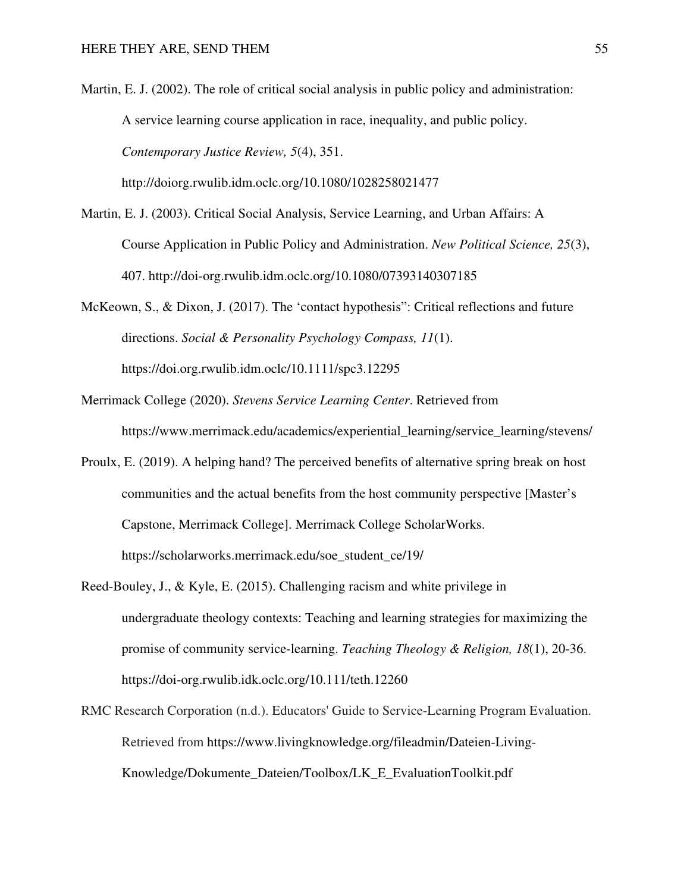Martin, E. J. (2002). The role of critical social analysis in public policy and administration: A service learning course application in race, inequality, and public policy. *Contemporary Justice Review, 5*(4), 351. http://doiorg.rwulib.idm.oclc.org/10.1080/1028258021477

Martin, E. J. (2003). Critical Social Analysis, Service Learning, and Urban Affairs: A Course Application in Public Policy and Administration. *New Political Science, 25*(3), 407. http://doi-org.rwulib.idm.oclc.org/10.1080/07393140307185

McKeown, S., & Dixon, J. (2017). The 'contact hypothesis": Critical reflections and future directions. *Social & Personality Psychology Compass, 11*(1). https://doi.org.rwulib.idm.oclc/10.1111/spc3.12295

- Merrimack College (2020). *Stevens Service Learning Center*. Retrieved from https://www.merrimack.edu/academics/experiential\_learning/service\_learning/stevens/
- Proulx, E. (2019). A helping hand? The perceived benefits of alternative spring break on host communities and the actual benefits from the host community perspective [Master's Capstone, Merrimack College]. Merrimack College ScholarWorks. https://scholarworks.merrimack.edu/soe\_student\_ce/19/
- Reed-Bouley, J., & Kyle, E. (2015). Challenging racism and white privilege in undergraduate theology contexts: Teaching and learning strategies for maximizing the promise of community service-learning. *Teaching Theology & Religion, 18*(1), 20-36. https://doi-org.rwulib.idk.oclc.org/10.111/teth.12260
- RMC Research Corporation (n.d.). Educators' Guide to Service-Learning Program Evaluation. Retrieved from https://www.livingknowledge.org/fileadmin/Dateien-Living-Knowledge/Dokumente\_Dateien/Toolbox/LK\_E\_EvaluationToolkit.pdf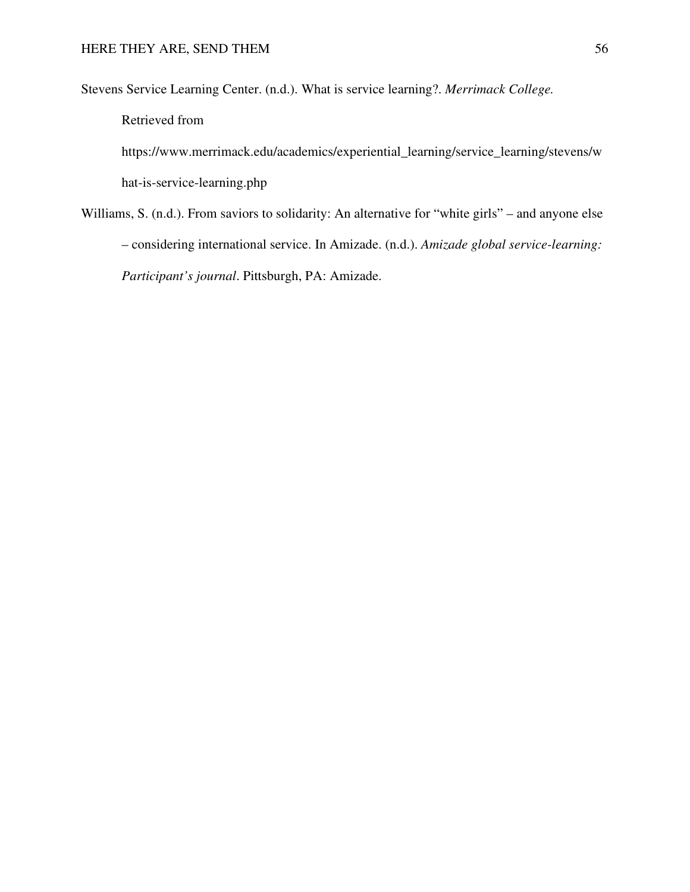Stevens Service Learning Center. (n.d.). What is service learning?. *Merrimack College.*

Retrieved from

https://www.merrimack.edu/academics/experiential\_learning/service\_learning/stevens/w hat-is-service-learning.php

Williams, S. (n.d.). From saviors to solidarity: An alternative for "white girls" – and anyone else – considering international service. In Amizade. (n.d.). *Amizade global service-learning: Participant's journal*. Pittsburgh, PA: Amizade.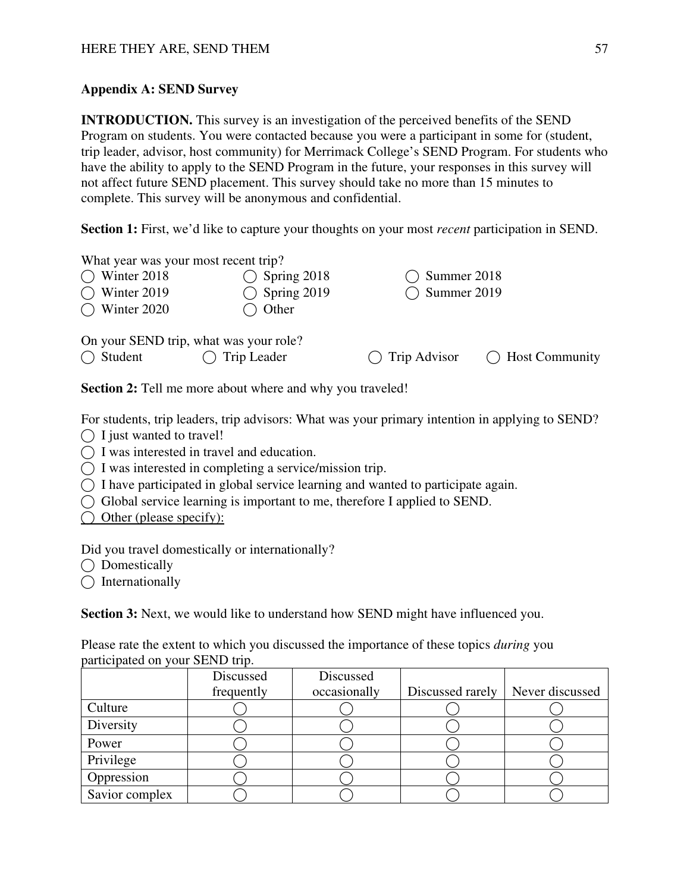## **Appendix A: SEND Survey**

**INTRODUCTION.** This survey is an investigation of the perceived benefits of the SEND Program on students. You were contacted because you were a participant in some for (student, trip leader, advisor, host community) for Merrimack College's SEND Program. For students who have the ability to apply to the SEND Program in the future, your responses in this survey will not affect future SEND placement. This survey should take no more than 15 minutes to complete. This survey will be anonymous and confidential.

**Section 1:** First, we'd like to capture your thoughts on your most *recent* participation in SEND.

| What year was your most recent trip?<br>Winter 2018<br>( )<br>$\bigcirc$ Winter 2019<br>$\bigcirc$ Winter 2020 | Spring 2018<br>$\bigcirc$ Spring 2019<br>Other | Summer 2018<br><b>Summer 2019</b> |                          |
|----------------------------------------------------------------------------------------------------------------|------------------------------------------------|-----------------------------------|--------------------------|
| On your SEND trip, what was your role?<br>$\bigcap$ Student                                                    | Trip Leader                                    | $\bigcap$ Trip Advisor            | $\bigcap$ Host Community |

Section 2: Tell me more about where and why you traveled!

For students, trip leaders, trip advisors: What was your primary intention in applying to SEND?

- $\bigcap$  I just wanted to travel!
- ◯ I was interested in travel and education.
- $\bigcap$  I was interested in completing a service/mission trip.
- $\bigcap$  I have participated in global service learning and wanted to participate again.
- ⃝ Global service learning is important to me, therefore I applied to SEND.
- $\bigcap$  Other (please specify):

Did you travel domestically or internationally?

 $\bigcap$  Domestically

 $\bigcap$  Internationally

**Section 3:** Next, we would like to understand how SEND might have influenced you.

| Please rate the extent to which you discussed the importance of these topics <i>during</i> you |  |  |  |
|------------------------------------------------------------------------------------------------|--|--|--|
| participated on your SEND trip.                                                                |  |  |  |

|                | Discussed  | Discussed    |                  |                 |
|----------------|------------|--------------|------------------|-----------------|
|                | frequently | occasionally | Discussed rarely | Never discussed |
| Culture        |            |              |                  |                 |
| Diversity      |            |              |                  |                 |
| Power          |            |              |                  |                 |
| Privilege      |            |              |                  |                 |
| Oppression     |            |              |                  |                 |
| Savior complex |            |              |                  |                 |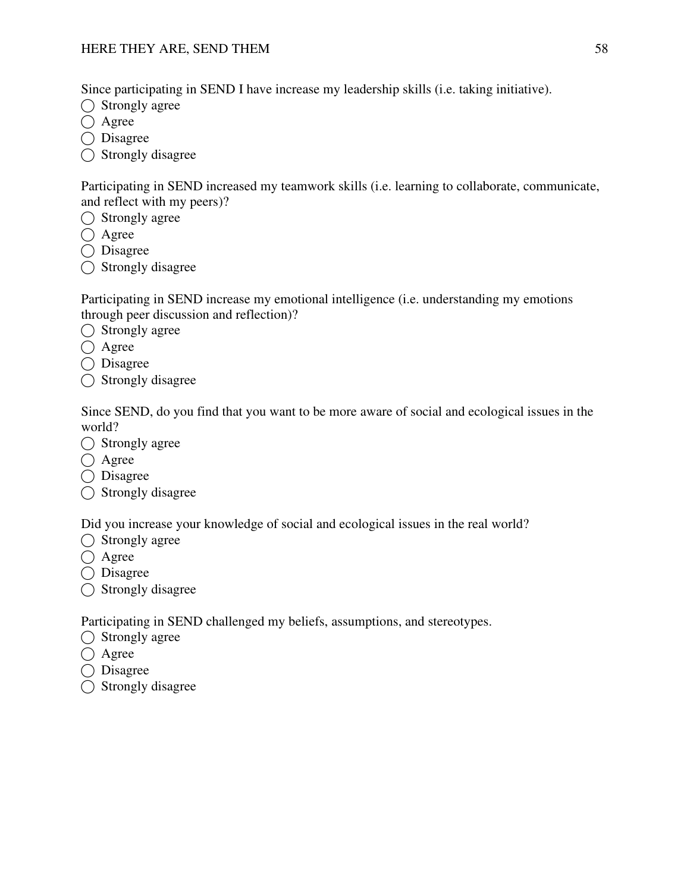Since participating in SEND I have increase my leadership skills (i.e. taking initiative).

- ◯ Strongly agree
- ◯ Agree
- ◯ Disagree
- ◯ Strongly disagree

Participating in SEND increased my teamwork skills (i.e. learning to collaborate, communicate, and reflect with my peers)?

- ◯ Strongly agree
- $\bigcap$  Agree
- ⃝ Disagree
- $\bigcap$  Strongly disagree

Participating in SEND increase my emotional intelligence (i.e. understanding my emotions through peer discussion and reflection)?

- $\bigcirc$  Strongly agree
- $\bigcirc$  Agree
- ◯ Disagree
- $\bigcap$  Strongly disagree

Since SEND, do you find that you want to be more aware of social and ecological issues in the world?

- $\bigcirc$  Strongly agree
- $\bigcirc$  Agree
- ⃝ Disagree
- ◯ Strongly disagree

Did you increase your knowledge of social and ecological issues in the real world?

- $\bigcap$  Strongly agree
- $\bigcirc$  Agree
- ◯ Disagree
- $\bigcap$  Strongly disagree

Participating in SEND challenged my beliefs, assumptions, and stereotypes.

- ◯ Strongly agree
- $\bigcirc$  Agree
- ◯ Disagree
- ⃝ Strongly disagree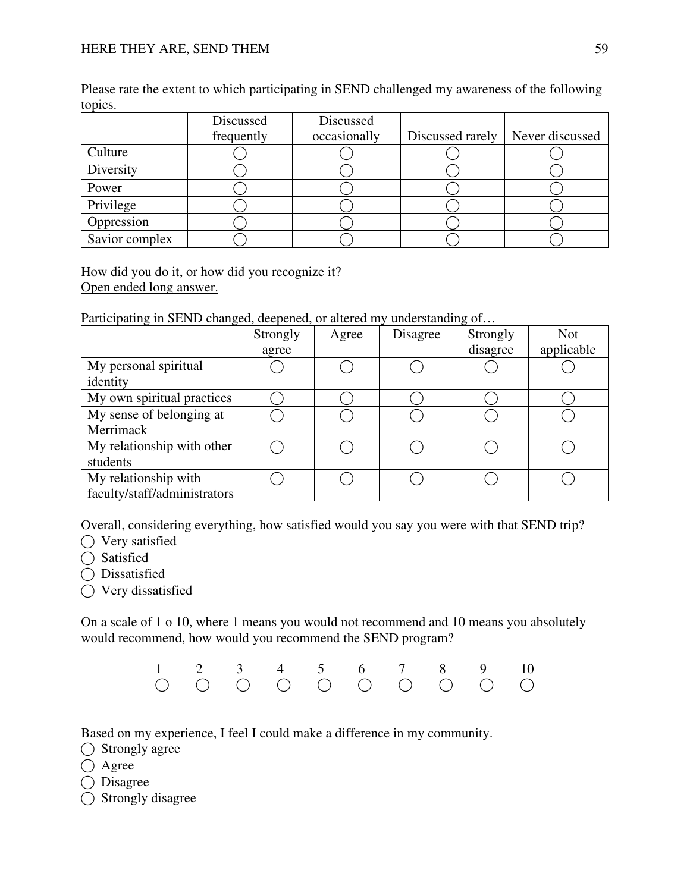|                | Discussed<br>frequently | Discussed<br>occasionally | Discussed rarely | Never discussed |
|----------------|-------------------------|---------------------------|------------------|-----------------|
| Culture        |                         |                           |                  |                 |
| Diversity      |                         |                           |                  |                 |
| Power          |                         |                           |                  |                 |
| Privilege      |                         |                           |                  |                 |
| Oppression     |                         |                           |                  |                 |
| Savior complex |                         |                           |                  |                 |

Please rate the extent to which participating in SEND challenged my awareness of the following topics.

How did you do it, or how did you recognize it? Open ended long answer.

Participating in SEND changed, deepened, or altered my understanding of…

|                              | Strongly | Agree | Disagree | Strongly | <b>Not</b> |
|------------------------------|----------|-------|----------|----------|------------|
|                              | agree    |       |          | disagree | applicable |
| My personal spiritual        |          |       |          |          |            |
| identity                     |          |       |          |          |            |
| My own spiritual practices   |          |       |          |          |            |
| My sense of belonging at     |          |       |          |          |            |
| Merrimack                    |          |       |          |          |            |
| My relationship with other   |          |       |          |          |            |
| students                     |          |       |          |          |            |
| My relationship with         |          |       |          |          |            |
| faculty/staff/administrators |          |       |          |          |            |

Overall, considering everything, how satisfied would you say you were with that SEND trip?

◯ Very satisfied

◯ Satisfied

◯ Dissatisfied

◯ Very dissatisfied

On a scale of 1 o 10, where 1 means you would not recommend and 10 means you absolutely would recommend, how would you recommend the SEND program?



Based on my experience, I feel I could make a difference in my community.

⃝ Strongly agree

 $\bigcirc$  Agree

 $\bigcap$  Disagree

◯ Strongly disagree